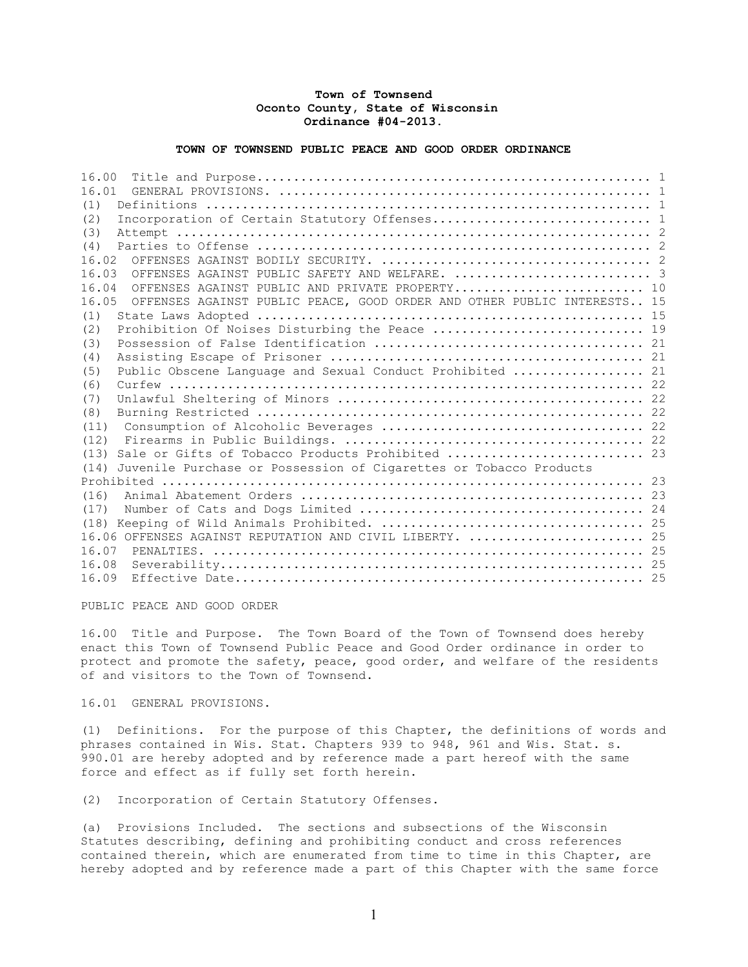## Town of Townsend Oconto County, State of Wisconsin Ordinance #04-2013.

## TOWN OF TOWNSEND PUBLIC PEACE AND GOOD ORDER ORDINANCE

16.00 Title and Purpose...................................................... 1 16.01 GENERAL PROVISIONS. ................................................... 1 (1) Definitions ............................................................. 1 (2) Incorporation of Certain Statutory Offenses.............................. 1 (3) Attempt ................................................................. 2 (4) Parties to Offense ...................................................... 2 16.02 OFFENSES AGAINST BODILY SECURITY. ..................................... 2 16.03 OFFENSES AGAINST PUBLIC SAFETY AND WELFARE. ................................ 16.04 OFFENSES AGAINST PUBLIC AND PRIVATE PROPERTY........................... 10 16.05 OFFENSES AGAINST PUBLIC PEACE, GOOD ORDER AND OTHER PUBLIC INTERESTS.. 15 (1) State Laws Adopted ..................................................... 15 (2) Prohibition Of Noises Disturbing the Peace ................................ 19 (3) Possession of False Identification ..................................... 21 (4) Assisting Escape of Prisoner ........................................... 21 (5) Public Obscene Language and Sexual Conduct Prohibited .................. 21 (6) Curfew ................................................................. 22 (7) Unlawful Sheltering of Minors .......................................... 22 (8) Burning Restricted ..................................................... 22 (11) Consumption of Alcoholic Beverages .................................... 22 (12) Firearms in Public Buildings. ......................................... 22 (13) Sale or Gifts of Tobacco Products Prohibited ........................... 23 (14) Juvenile Purchase or Possession of Cigarettes or Tobacco Products Prohibited .................................................................. 23 (16) Animal Abatement Orders ............................................... 23 (17) Number of Cats and Dogs Limited ....................................... 24 (18) Keeping of Wild Animals Prohibited. .................................... 25 16.06 OFFENSES AGAINST REPUTATION AND CIVIL LIBERTY. ........................ 25 16.07 PENALTIES. ........................................................... 25 16.08 Severability.......................................................... 25 16.09 Effective Date........................................................ 25

PUBLIC PEACE AND GOOD ORDER

16.00 Title and Purpose. The Town Board of the Town of Townsend does hereby enact this Town of Townsend Public Peace and Good Order ordinance in order to protect and promote the safety, peace, good order, and welfare of the residents of and visitors to the Town of Townsend.

16.01 GENERAL PROVISIONS.

(1) Definitions. For the purpose of this Chapter, the definitions of words and phrases contained in Wis. Stat. Chapters 939 to 948, 961 and Wis. Stat. s. 990.01 are hereby adopted and by reference made a part hereof with the same force and effect as if fully set forth herein.

(2) Incorporation of Certain Statutory Offenses.

(a) Provisions Included. The sections and subsections of the Wisconsin Statutes describing, defining and prohibiting conduct and cross references contained therein, which are enumerated from time to time in this Chapter, are hereby adopted and by reference made a part of this Chapter with the same force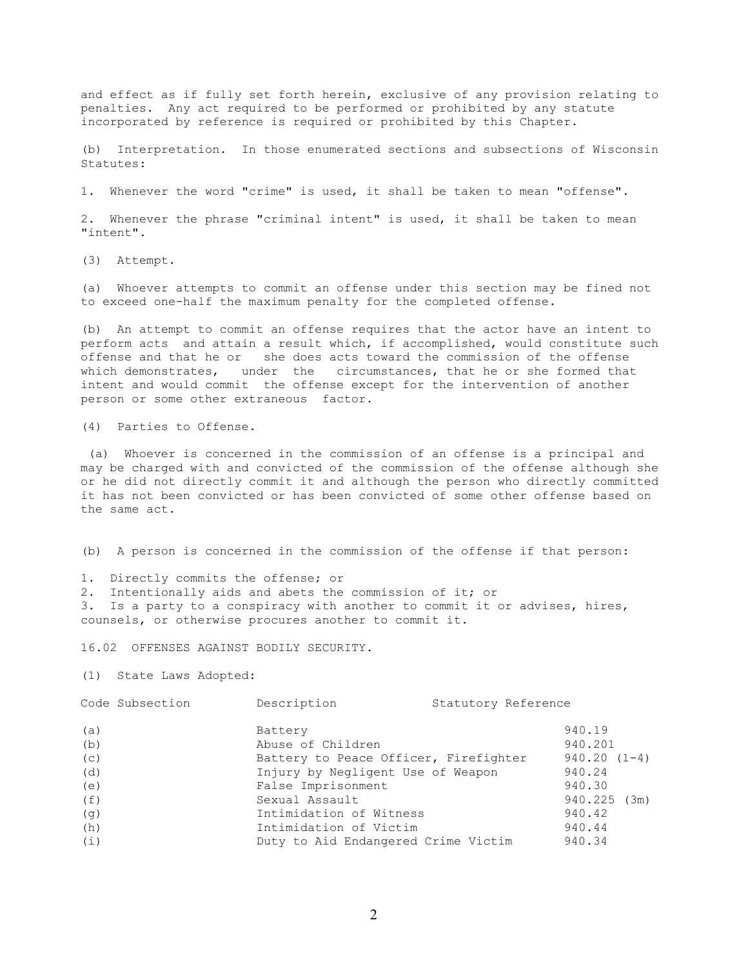and effect as if fully set forth herein, exclusive of any provision relating to penalties. Any act required to be performed or prohibited by any statute incorporated by reference is required or prohibited by this Chapter.

(b) Interpretation. In those enumerated sections and subsections of Wisconsin Statutes:

1. Whenever the word "crime" is used, it shall be taken to mean "offense".

2. Whenever the phrase "criminal intent" is used, it shall be taken to mean "intent".

(3) Attempt.

(a) Whoever attempts to commit an offense under this section may be fined not to exceed one-half the maximum penalty for the completed offense.

(b) An attempt to commit an offense requires that the actor have an intent to perform acts and attain a result which, if accomplished, would constitute such offense and that he or she does acts toward the commission of the offense which demonstrates, under the circumstances, that he or she formed that intent and would commit the offense except for the intervention of another person or some other extraneous factor.

(4) Parties to Offense.

 (a) Whoever is concerned in the commission of an offense is a principal and may be charged with and convicted of the commission of the offense although she or he did not directly commit it and although the person who directly committed it has not been convicted or has been convicted of some other offense based on the same act.

(b) A person is concerned in the commission of the offense if that person:

1. Directly commits the offense; or

2. Intentionally aids and abets the commission of it; or 3. Is a party to a conspiracy with another to commit it or advises, hires, counsels, or otherwise procures another to commit it.

16.02 OFFENSES AGAINST BODILY SECURITY.

(1) State Laws Adopted:

| Code Subsection | Description<br>Statutory Reference    |                |
|-----------------|---------------------------------------|----------------|
| (a)             | Battery                               | 940.19         |
| (b)             | Abuse of Children                     | 940.201        |
| (c)             | Battery to Peace Officer, Firefighter | $940.20(1-4)$  |
| (d)             | Injury by Negligent Use of Weapon     | 940.24         |
| (e)             | False Imprisonment                    | 940.30         |
| (f)             | Sexual Assault                        | $940.225$ (3m) |
| (g)             | Intimidation of Witness               | 940.42         |
| (h)             | Intimidation of Victim                | 940.44         |
| (i)             | Duty to Aid Endangered Crime Victim   | 940.34         |
|                 |                                       |                |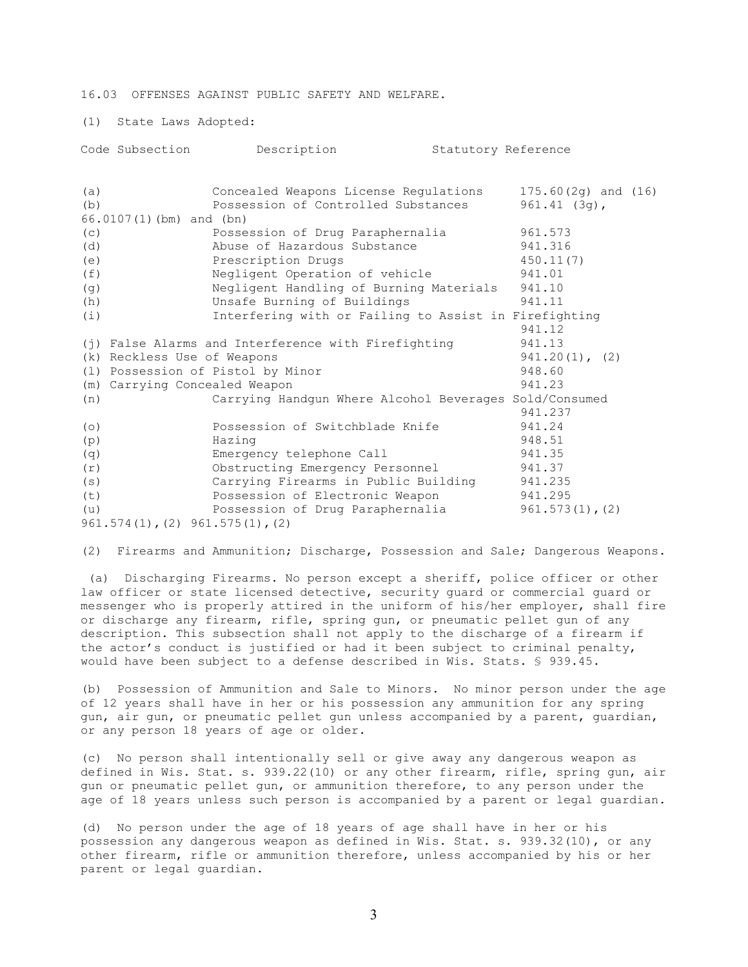16.03 OFFENSES AGAINST PUBLIC SAFETY AND WELFARE.

(1) State Laws Adopted:

| Code Subsection<br>Description<br>Statutory Reference                                      |                                           |
|--------------------------------------------------------------------------------------------|-------------------------------------------|
| (a)<br>Concealed Weapons License Regulations<br>Possession of Controlled Substances<br>(b) | $175.60(2g)$ and $(16)$<br>$961.41(3q)$ , |
| 66.0107(1)(bm) and (bn)                                                                    |                                           |
| 961.573<br>Possession of Drug Paraphernalia<br>(C)                                         |                                           |
| Abuse of Hazardous Substance<br>(d)<br>941.316                                             |                                           |
| Prescription Drugs<br>450.11(7)<br>(e)                                                     |                                           |
| Negligent Operation of vehicle<br>941.01<br>(f)                                            |                                           |
| Negligent Handling of Burning Materials<br>941.10<br>(g)                                   |                                           |
| Unsafe Burning of Buildings<br>941.11<br>(h)                                               |                                           |
| Interfering with or Failing to Assist in Firefighting<br>(i)                               |                                           |
| 941.12                                                                                     |                                           |
| 941.13<br>(j) False Alarms and Interference with Firefighting                              |                                           |
| (k) Reckless Use of Weapons                                                                | $941.20(1)$ , (2)                         |
| (1) Possession of Pistol by Minor<br>948.60                                                |                                           |
| 941.23<br>(m) Carrying Concealed Weapon                                                    |                                           |
| Carrying Handgun Where Alcohol Beverages Sold/Consumed<br>(n)                              |                                           |
| 941.237                                                                                    |                                           |
| Possession of Switchblade Knife<br>941.24<br>(0)                                           |                                           |
| 948.51<br>Hazing<br>(p)                                                                    |                                           |
| 941.35<br>Emergency telephone Call<br>(q)                                                  |                                           |
| Obstructing Emergency Personnel<br>941.37<br>(r)                                           |                                           |
| Carrying Firearms in Public Building<br>(s)<br>941.235                                     |                                           |
| Possession of Electronic Weapon<br>941.295<br>(t)                                          |                                           |
| Possession of Drug Paraphernalia<br>(u)                                                    | $961.573(1)$ , (2)                        |
| $961.574(1)$ , (2) $961.575(1)$ , (2)                                                      |                                           |

(2) Firearms and Ammunition; Discharge, Possession and Sale; Dangerous Weapons.

 (a) Discharging Firearms. No person except a sheriff, police officer or other law officer or state licensed detective, security guard or commercial guard or messenger who is properly attired in the uniform of his/her employer, shall fire or discharge any firearm, rifle, spring gun, or pneumatic pellet gun of any description. This subsection shall not apply to the discharge of a firearm if the actor's conduct is justified or had it been subject to criminal penalty, would have been subject to a defense described in Wis. Stats. § 939.45.

(b) Possession of Ammunition and Sale to Minors. No minor person under the age of 12 years shall have in her or his possession any ammunition for any spring gun, air gun, or pneumatic pellet gun unless accompanied by a parent, guardian, or any person 18 years of age or older.

(c) No person shall intentionally sell or give away any dangerous weapon as defined in Wis. Stat. s. 939.22(10) or any other firearm, rifle, spring gun, air gun or pneumatic pellet gun, or ammunition therefore, to any person under the age of 18 years unless such person is accompanied by a parent or legal guardian.

(d) No person under the age of 18 years of age shall have in her or his possession any dangerous weapon as defined in Wis. Stat. s. 939.32(10), or any other firearm, rifle or ammunition therefore, unless accompanied by his or her parent or legal guardian.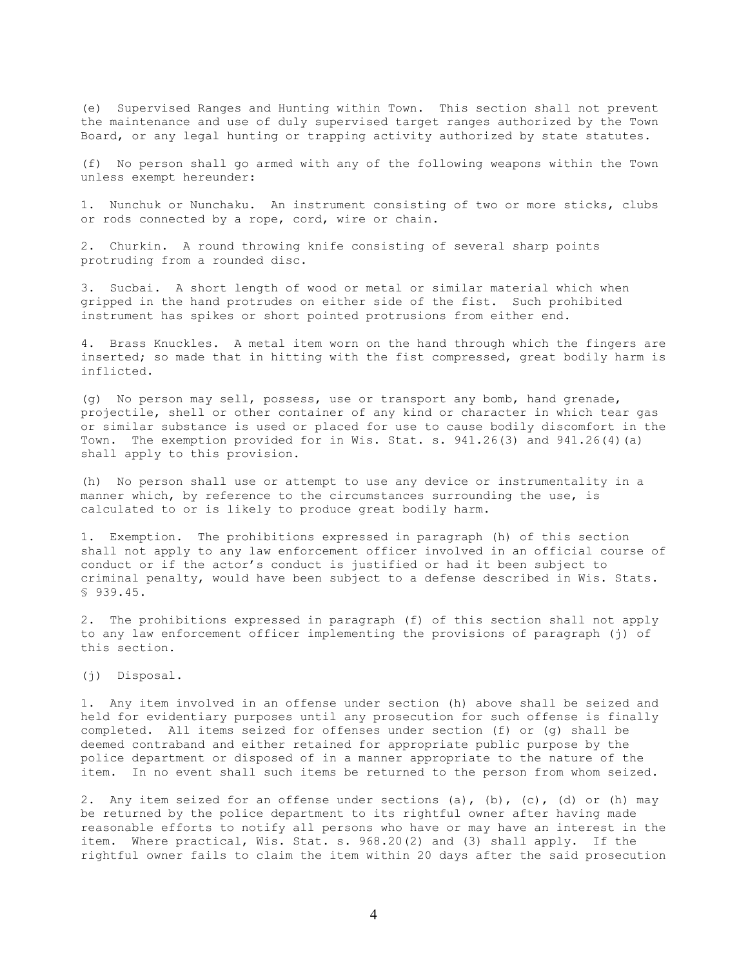(e) Supervised Ranges and Hunting within Town. This section shall not prevent the maintenance and use of duly supervised target ranges authorized by the Town Board, or any legal hunting or trapping activity authorized by state statutes.

(f) No person shall go armed with any of the following weapons within the Town unless exempt hereunder:

1. Nunchuk or Nunchaku. An instrument consisting of two or more sticks, clubs or rods connected by a rope, cord, wire or chain.

2. Churkin. A round throwing knife consisting of several sharp points protruding from a rounded disc.

3. Sucbai. A short length of wood or metal or similar material which when gripped in the hand protrudes on either side of the fist. Such prohibited instrument has spikes or short pointed protrusions from either end.

4. Brass Knuckles. A metal item worn on the hand through which the fingers are inserted; so made that in hitting with the fist compressed, great bodily harm is inflicted.

(g) No person may sell, possess, use or transport any bomb, hand grenade, projectile, shell or other container of any kind or character in which tear gas or similar substance is used or placed for use to cause bodily discomfort in the Town. The exemption provided for in Wis. Stat. s. 941.26(3) and 941.26(4)(a) shall apply to this provision.

(h) No person shall use or attempt to use any device or instrumentality in a manner which, by reference to the circumstances surrounding the use, is calculated to or is likely to produce great bodily harm.

1. Exemption. The prohibitions expressed in paragraph (h) of this section shall not apply to any law enforcement officer involved in an official course of conduct or if the actor's conduct is justified or had it been subject to criminal penalty, would have been subject to a defense described in Wis. Stats. § 939.45.

2. The prohibitions expressed in paragraph (f) of this section shall not apply to any law enforcement officer implementing the provisions of paragraph (j) of this section.

(j) Disposal.

1. Any item involved in an offense under section (h) above shall be seized and held for evidentiary purposes until any prosecution for such offense is finally completed. All items seized for offenses under section (f) or (g) shall be deemed contraband and either retained for appropriate public purpose by the police department or disposed of in a manner appropriate to the nature of the item. In no event shall such items be returned to the person from whom seized.

2. Any item seized for an offense under sections (a), (b), (c), (d) or (h) may be returned by the police department to its rightful owner after having made reasonable efforts to notify all persons who have or may have an interest in the item. Where practical, Wis. Stat. s. 968.20(2) and (3) shall apply. If the rightful owner fails to claim the item within 20 days after the said prosecution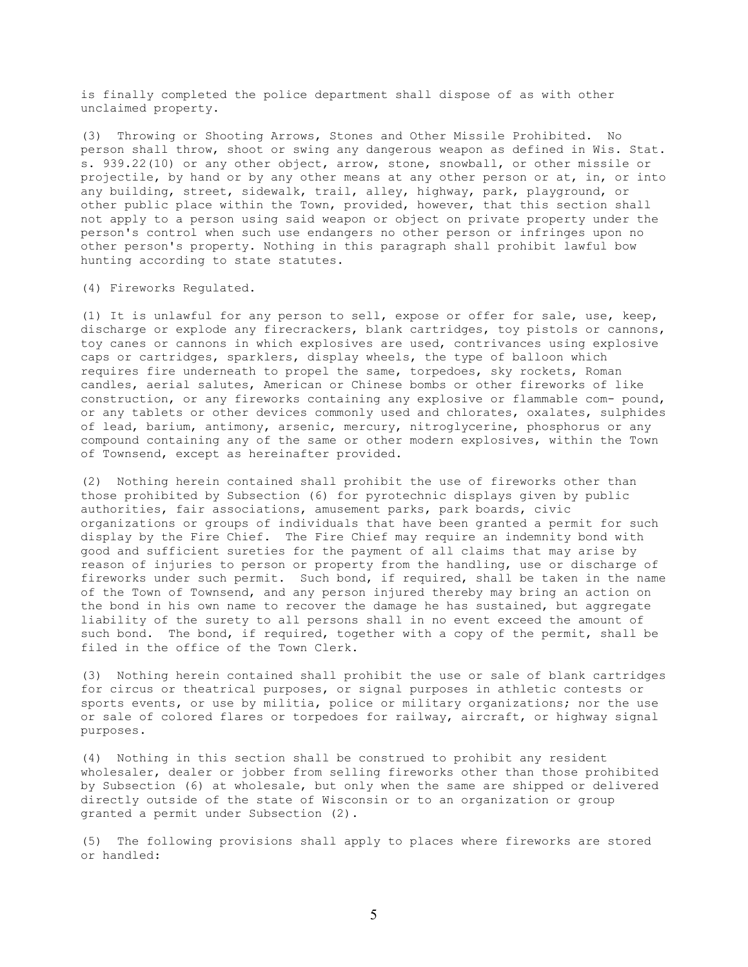is finally completed the police department shall dispose of as with other unclaimed property.

(3) Throwing or Shooting Arrows, Stones and Other Missile Prohibited. No person shall throw, shoot or swing any dangerous weapon as defined in Wis. Stat. s. 939.22(10) or any other object, arrow, stone, snowball, or other missile or projectile, by hand or by any other means at any other person or at, in, or into any building, street, sidewalk, trail, alley, highway, park, playground, or other public place within the Town, provided, however, that this section shall not apply to a person using said weapon or object on private property under the person's control when such use endangers no other person or infringes upon no other person's property. Nothing in this paragraph shall prohibit lawful bow hunting according to state statutes.

(4) Fireworks Regulated.

(1) It is unlawful for any person to sell, expose or offer for sale, use, keep, discharge or explode any firecrackers, blank cartridges, toy pistols or cannons, toy canes or cannons in which explosives are used, contrivances using explosive caps or cartridges, sparklers, display wheels, the type of balloon which requires fire underneath to propel the same, torpedoes, sky rockets, Roman candles, aerial salutes, American or Chinese bombs or other fireworks of like construction, or any fireworks containing any explosive or flammable com- pound, or any tablets or other devices commonly used and chlorates, oxalates, sulphides of lead, barium, antimony, arsenic, mercury, nitroglycerine, phosphorus or any compound containing any of the same or other modern explosives, within the Town of Townsend, except as hereinafter provided.

(2) Nothing herein contained shall prohibit the use of fireworks other than those prohibited by Subsection (6) for pyrotechnic displays given by public authorities, fair associations, amusement parks, park boards, civic organizations or groups of individuals that have been granted a permit for such display by the Fire Chief. The Fire Chief may require an indemnity bond with good and sufficient sureties for the payment of all claims that may arise by reason of injuries to person or property from the handling, use or discharge of fireworks under such permit. Such bond, if required, shall be taken in the name of the Town of Townsend, and any person injured thereby may bring an action on the bond in his own name to recover the damage he has sustained, but aggregate liability of the surety to all persons shall in no event exceed the amount of such bond. The bond, if required, together with a copy of the permit, shall be filed in the office of the Town Clerk.

(3) Nothing herein contained shall prohibit the use or sale of blank cartridges for circus or theatrical purposes, or signal purposes in athletic contests or sports events, or use by militia, police or military organizations; nor the use or sale of colored flares or torpedoes for railway, aircraft, or highway signal purposes.

(4) Nothing in this section shall be construed to prohibit any resident wholesaler, dealer or jobber from selling fireworks other than those prohibited by Subsection (6) at wholesale, but only when the same are shipped or delivered directly outside of the state of Wisconsin or to an organization or group granted a permit under Subsection (2).

(5) The following provisions shall apply to places where fireworks are stored or handled: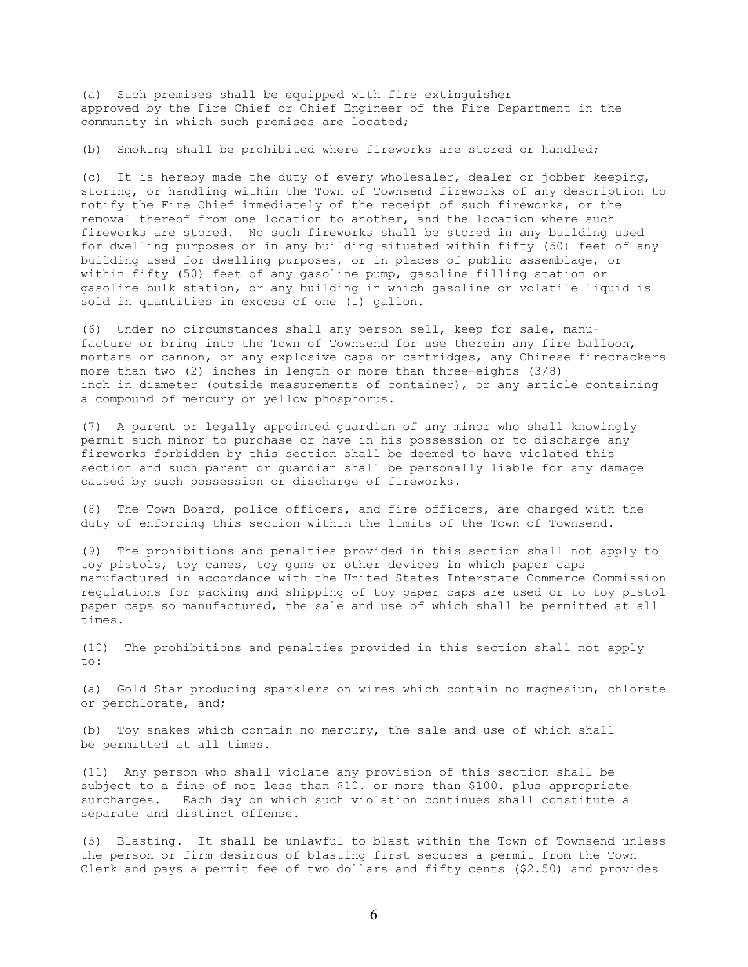(a) Such premises shall be equipped with fire extinguisher approved by the Fire Chief or Chief Engineer of the Fire Department in the community in which such premises are located;

(b) Smoking shall be prohibited where fireworks are stored or handled;

(c) It is hereby made the duty of every wholesaler, dealer or jobber keeping, storing, or handling within the Town of Townsend fireworks of any description to notify the Fire Chief immediately of the receipt of such fireworks, or the removal thereof from one location to another, and the location where such fireworks are stored. No such fireworks shall be stored in any building used for dwelling purposes or in any building situated within fifty (50) feet of any building used for dwelling purposes, or in places of public assemblage, or within fifty (50) feet of any gasoline pump, gasoline filling station or gasoline bulk station, or any building in which gasoline or volatile liquid is sold in quantities in excess of one (1) gallon.

(6) Under no circumstances shall any person sell, keep for sale, manufacture or bring into the Town of Townsend for use therein any fire balloon, mortars or cannon, or any explosive caps or cartridges, any Chinese firecrackers more than two (2) inches in length or more than three-eights (3/8) inch in diameter (outside measurements of container), or any article containing a compound of mercury or yellow phosphorus.

(7) A parent or legally appointed guardian of any minor who shall knowingly permit such minor to purchase or have in his possession or to discharge any fireworks forbidden by this section shall be deemed to have violated this section and such parent or guardian shall be personally liable for any damage caused by such possession or discharge of fireworks.

(8) The Town Board, police officers, and fire officers, are charged with the duty of enforcing this section within the limits of the Town of Townsend.

(9) The prohibitions and penalties provided in this section shall not apply to toy pistols, toy canes, toy guns or other devices in which paper caps manufactured in accordance with the United States Interstate Commerce Commission regulations for packing and shipping of toy paper caps are used or to toy pistol paper caps so manufactured, the sale and use of which shall be permitted at all times.

(10) The prohibitions and penalties provided in this section shall not apply to:

(a) Gold Star producing sparklers on wires which contain no magnesium, chlorate or perchlorate, and;

(b) Toy snakes which contain no mercury, the sale and use of which shall be permitted at all times.

(11) Any person who shall violate any provision of this section shall be subject to a fine of not less than \$10. or more than \$100. plus appropriate surcharges. Each day on which such violation continues shall constitute a separate and distinct offense.

(5) Blasting. It shall be unlawful to blast within the Town of Townsend unless the person or firm desirous of blasting first secures a permit from the Town Clerk and pays a permit fee of two dollars and fifty cents (\$2.50) and provides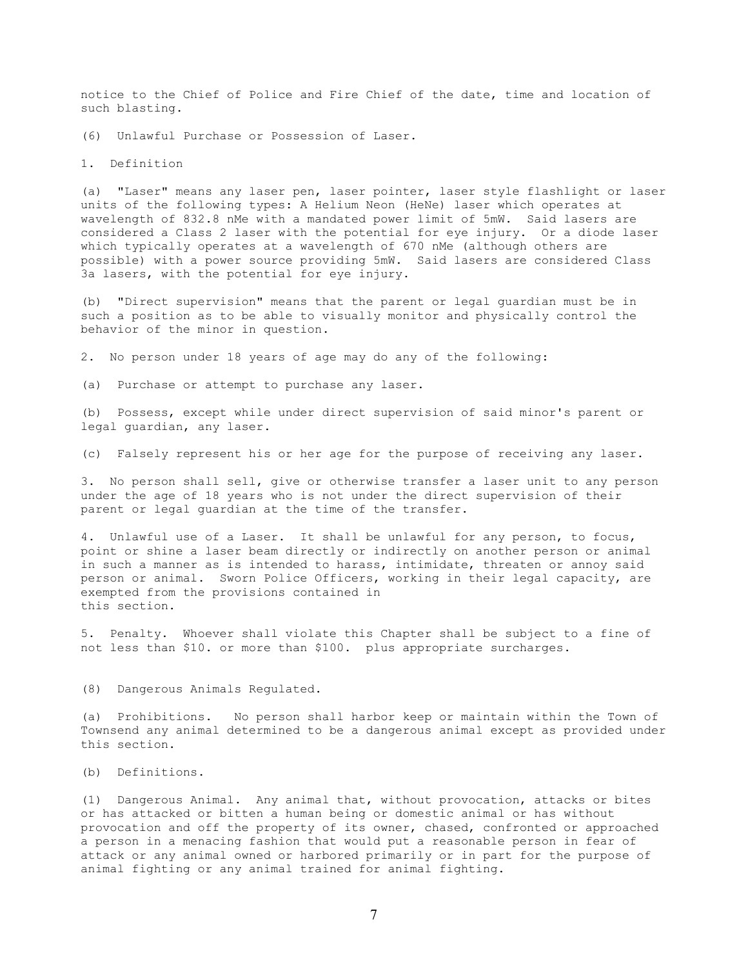notice to the Chief of Police and Fire Chief of the date, time and location of such blasting.

(6) Unlawful Purchase or Possession of Laser.

1. Definition

(a) "Laser" means any laser pen, laser pointer, laser style flashlight or laser units of the following types: A Helium Neon (HeNe) laser which operates at wavelength of 832.8 nMe with a mandated power limit of 5mW. Said lasers are considered a Class 2 laser with the potential for eye injury. Or a diode laser which typically operates at a wavelength of 670 nMe (although others are possible) with a power source providing 5mW. Said lasers are considered Class 3a lasers, with the potential for eye injury.

(b) "Direct supervision" means that the parent or legal guardian must be in such a position as to be able to visually monitor and physically control the behavior of the minor in question.

2. No person under 18 years of age may do any of the following:

(a) Purchase or attempt to purchase any laser.

(b) Possess, except while under direct supervision of said minor's parent or legal guardian, any laser.

(c) Falsely represent his or her age for the purpose of receiving any laser.

3. No person shall sell, give or otherwise transfer a laser unit to any person under the age of 18 years who is not under the direct supervision of their parent or legal guardian at the time of the transfer.

4. Unlawful use of a Laser. It shall be unlawful for any person, to focus, point or shine a laser beam directly or indirectly on another person or animal in such a manner as is intended to harass, intimidate, threaten or annoy said person or animal. Sworn Police Officers, working in their legal capacity, are exempted from the provisions contained in this section.

5. Penalty. Whoever shall violate this Chapter shall be subject to a fine of not less than \$10. or more than \$100. plus appropriate surcharges.

(8) Dangerous Animals Regulated.

(a) Prohibitions. No person shall harbor keep or maintain within the Town of Townsend any animal determined to be a dangerous animal except as provided under this section.

(b) Definitions.

(1) Dangerous Animal. Any animal that, without provocation, attacks or bites or has attacked or bitten a human being or domestic animal or has without provocation and off the property of its owner, chased, confronted or approached a person in a menacing fashion that would put a reasonable person in fear of attack or any animal owned or harbored primarily or in part for the purpose of animal fighting or any animal trained for animal fighting.

7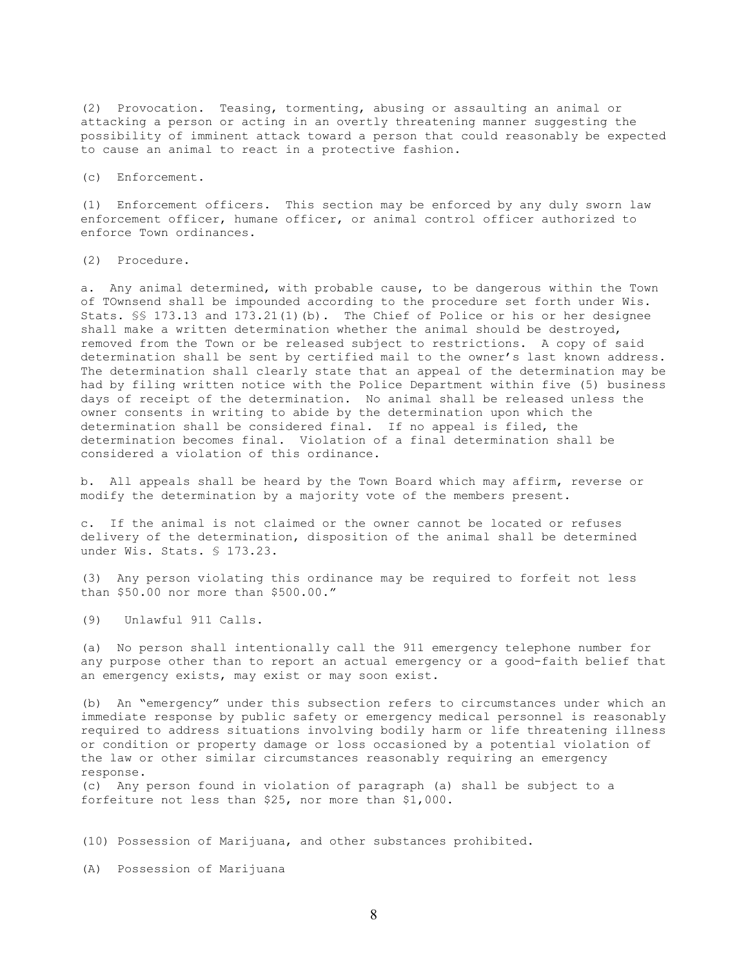(2) Provocation. Teasing, tormenting, abusing or assaulting an animal or attacking a person or acting in an overtly threatening manner suggesting the possibility of imminent attack toward a person that could reasonably be expected to cause an animal to react in a protective fashion.

(c) Enforcement.

(1) Enforcement officers. This section may be enforced by any duly sworn law enforcement officer, humane officer, or animal control officer authorized to enforce Town ordinances.

(2) Procedure.

a. Any animal determined, with probable cause, to be dangerous within the Town of TOwnsend shall be impounded according to the procedure set forth under Wis. Stats. §§ 173.13 and 173.21(1)(b). The Chief of Police or his or her designee shall make a written determination whether the animal should be destroyed, removed from the Town or be released subject to restrictions. A copy of said determination shall be sent by certified mail to the owner's last known address. The determination shall clearly state that an appeal of the determination may be had by filing written notice with the Police Department within five (5) business days of receipt of the determination. No animal shall be released unless the owner consents in writing to abide by the determination upon which the determination shall be considered final. If no appeal is filed, the determination becomes final. Violation of a final determination shall be considered a violation of this ordinance.

b. All appeals shall be heard by the Town Board which may affirm, reverse or modify the determination by a majority vote of the members present.

c. If the animal is not claimed or the owner cannot be located or refuses delivery of the determination, disposition of the animal shall be determined under Wis. Stats. § 173.23.

(3) Any person violating this ordinance may be required to forfeit not less than \$50.00 nor more than \$500.00."

(9) Unlawful 911 Calls.

(a) No person shall intentionally call the 911 emergency telephone number for any purpose other than to report an actual emergency or a good-faith belief that an emergency exists, may exist or may soon exist.

(b) An "emergency" under this subsection refers to circumstances under which an immediate response by public safety or emergency medical personnel is reasonably required to address situations involving bodily harm or life threatening illness or condition or property damage or loss occasioned by a potential violation of the law or other similar circumstances reasonably requiring an emergency response.

(c) Any person found in violation of paragraph (a) shall be subject to a forfeiture not less than \$25, nor more than \$1,000.

(10) Possession of Marijuana, and other substances prohibited.

(A) Possession of Marijuana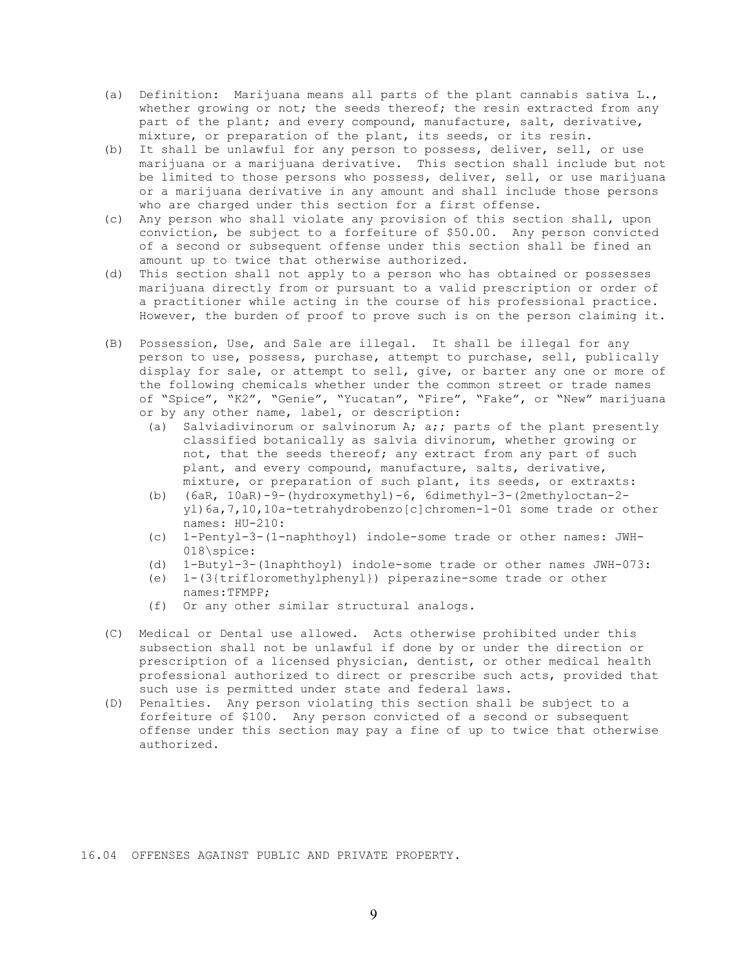- (a) Definition: Marijuana means all parts of the plant cannabis sativa L., whether growing or not; the seeds thereof; the resin extracted from any part of the plant; and every compound, manufacture, salt, derivative, mixture, or preparation of the plant, its seeds, or its resin.
- (b) It shall be unlawful for any person to possess, deliver, sell, or use marijuana or a marijuana derivative. This section shall include but not be limited to those persons who possess, deliver, sell, or use marijuana or a marijuana derivative in any amount and shall include those persons who are charged under this section for a first offense.
- (c) Any person who shall violate any provision of this section shall, upon conviction, be subject to a forfeiture of \$50.00. Any person convicted of a second or subsequent offense under this section shall be fined an amount up to twice that otherwise authorized.
- (d) This section shall not apply to a person who has obtained or possesses marijuana directly from or pursuant to a valid prescription or order of a practitioner while acting in the course of his professional practice. However, the burden of proof to prove such is on the person claiming it.
- (B) Possession, Use, and Sale are illegal. It shall be illegal for any person to use, possess, purchase, attempt to purchase, sell, publically display for sale, or attempt to sell, give, or barter any one or more of the following chemicals whether under the common street or trade names of "Spice", "K2", "Genie", "Yucatan", "Fire", "Fake", or "New" marijuana or by any other name, label, or description:
	- (a) Salviadivinorum or salvinorum A; a;; parts of the plant presently classified botanically as salvia divinorum, whether growing or not, that the seeds thereof; any extract from any part of such plant, and every compound, manufacture, salts, derivative, mixture, or preparation of such plant, its seeds, or extraxts:
	- (b) (6aR, 10aR)-9-(hydroxymethyl)-6, 6dimethyl-3-(2methyloctan-2 yl)6a,7,10,10a-tetrahydrobenzo[c]chromen-1-01 some trade or other names: HU-210:
	- (c) 1-Pentyl-3-(1-naphthoyl) indole-some trade or other names: JWH-018\spice:
	- (d) 1-Butyl-3-(1naphthoyl) indole-some trade or other names JWH-073:
	- (e) 1-(3{trifloromethylphenyl}) piperazine-some trade or other names:TFMPP;
	- (f) Or any other similar structural analogs.
- (C) Medical or Dental use allowed. Acts otherwise prohibited under this subsection shall not be unlawful if done by or under the direction or prescription of a licensed physician, dentist, or other medical health professional authorized to direct or prescribe such acts, provided that such use is permitted under state and federal laws.
- (D) Penalties. Any person violating this section shall be subject to a forfeiture of \$100. Any person convicted of a second or subsequent offense under this section may pay a fine of up to twice that otherwise authorized.

16.04 OFFENSES AGAINST PUBLIC AND PRIVATE PROPERTY.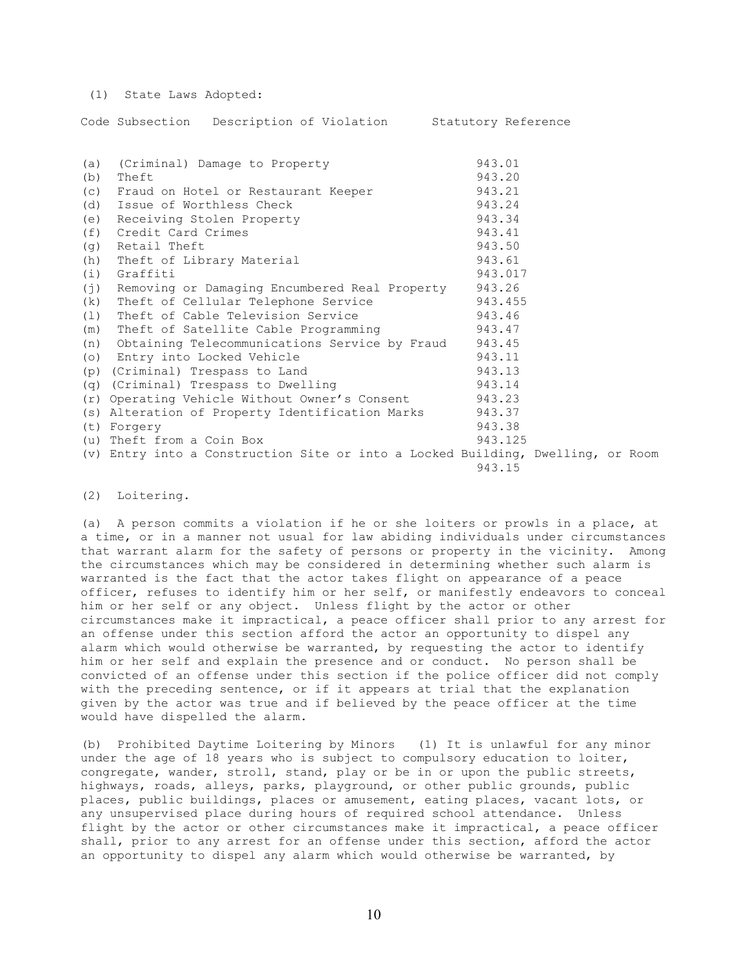(1) State Laws Adopted:

Code Subsection Description of Violation Statutory Reference

| (a)<br>(b) | (Criminal) Damage to Property<br>Theft                                          | 943.01<br>943.20 |
|------------|---------------------------------------------------------------------------------|------------------|
| (C)        | Fraud on Hotel or Restaurant Keeper                                             | 943.21           |
| (d)        | Issue of Worthless Check                                                        | 943.24           |
| (e)        | Receiving Stolen Property                                                       | 943.34           |
| (f)        | Credit Card Crimes                                                              | 943.41           |
| (q)        | Retail Theft                                                                    | 943.50           |
| (h)        | Theft of Library Material                                                       | 943.61           |
| (i)        | Graffiti                                                                        | 943.017          |
| (j)        | Removing or Damaging Encumbered Real Property                                   | 943.26           |
| (k)        | Theft of Cellular Telephone Service                                             | 943.455          |
| (1)        | Theft of Cable Television Service                                               | 943.46           |
| (m)        | Theft of Satellite Cable Programming                                            | 943.47           |
| (n)        | Obtaining Telecommunications Service by Fraud                                   | 943.45           |
| (0)        | Entry into Locked Vehicle                                                       | 943.11           |
|            | (p) (Criminal) Trespass to Land                                                 | 943.13           |
|            | (q) (Criminal) Trespass to Dwelling                                             | 943.14           |
|            | (r) Operating Vehicle Without Owner's Consent                                   | 943.23           |
|            | (s) Alteration of Property Identification Marks                                 | 943.37           |
|            | (t) Forgery                                                                     | 943.38           |
|            | (u) Theft from a Coin Box                                                       | 943.125          |
|            | (v) Entry into a Construction Site or into a Locked Building, Dwelling, or Room |                  |
|            |                                                                                 | 943.15           |

(2) Loitering.

(a) A person commits a violation if he or she loiters or prowls in a place, at a time, or in a manner not usual for law abiding individuals under circumstances that warrant alarm for the safety of persons or property in the vicinity. Among the circumstances which may be considered in determining whether such alarm is warranted is the fact that the actor takes flight on appearance of a peace officer, refuses to identify him or her self, or manifestly endeavors to conceal him or her self or any object. Unless flight by the actor or other circumstances make it impractical, a peace officer shall prior to any arrest for an offense under this section afford the actor an opportunity to dispel any alarm which would otherwise be warranted, by requesting the actor to identify him or her self and explain the presence and or conduct. No person shall be convicted of an offense under this section if the police officer did not comply with the preceding sentence, or if it appears at trial that the explanation given by the actor was true and if believed by the peace officer at the time would have dispelled the alarm.

(b) Prohibited Daytime Loitering by Minors (1) It is unlawful for any minor under the age of 18 years who is subject to compulsory education to loiter, congregate, wander, stroll, stand, play or be in or upon the public streets, highways, roads, alleys, parks, playground, or other public grounds, public places, public buildings, places or amusement, eating places, vacant lots, or any unsupervised place during hours of required school attendance. Unless flight by the actor or other circumstances make it impractical, a peace officer shall, prior to any arrest for an offense under this section, afford the actor an opportunity to dispel any alarm which would otherwise be warranted, by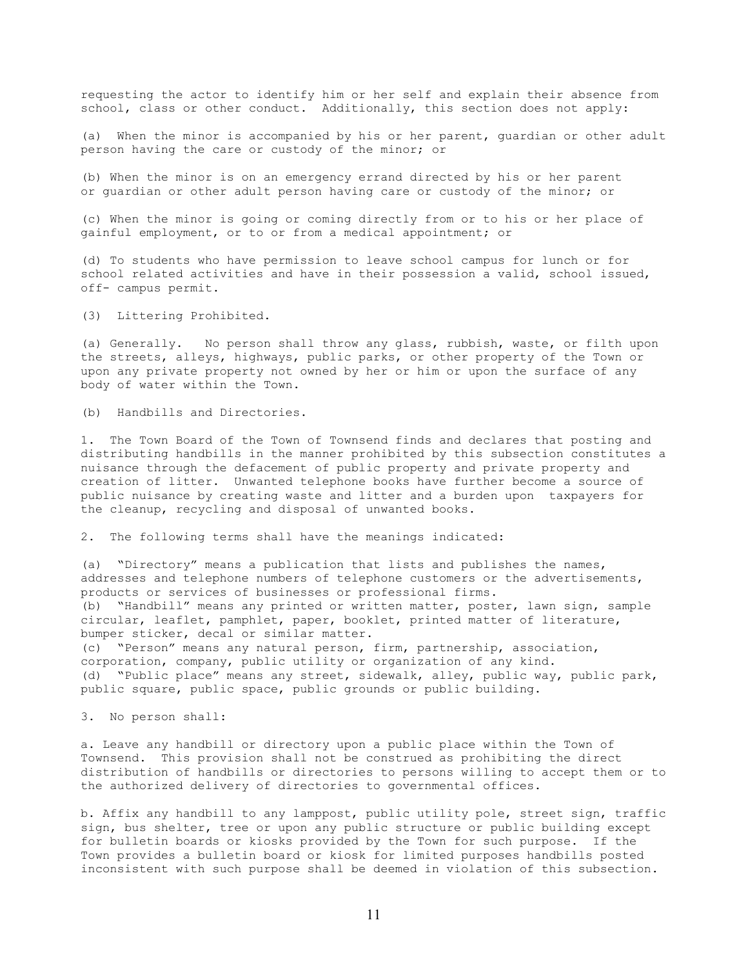requesting the actor to identify him or her self and explain their absence from school, class or other conduct. Additionally, this section does not apply:

(a) When the minor is accompanied by his or her parent, guardian or other adult person having the care or custody of the minor; or

(b) When the minor is on an emergency errand directed by his or her parent or guardian or other adult person having care or custody of the minor; or

(c) When the minor is going or coming directly from or to his or her place of gainful employment, or to or from a medical appointment; or

(d) To students who have permission to leave school campus for lunch or for school related activities and have in their possession a valid, school issued, off- campus permit.

(3) Littering Prohibited.

(a) Generally. No person shall throw any glass, rubbish, waste, or filth upon the streets, alleys, highways, public parks, or other property of the Town or upon any private property not owned by her or him or upon the surface of any body of water within the Town.

(b) Handbills and Directories.

1. The Town Board of the Town of Townsend finds and declares that posting and distributing handbills in the manner prohibited by this subsection constitutes a nuisance through the defacement of public property and private property and creation of litter. Unwanted telephone books have further become a source of public nuisance by creating waste and litter and a burden upon taxpayers for the cleanup, recycling and disposal of unwanted books.

2. The following terms shall have the meanings indicated:

(a) "Directory" means a publication that lists and publishes the names, addresses and telephone numbers of telephone customers or the advertisements, products or services of businesses or professional firms. (b) "Handbill" means any printed or written matter, poster, lawn sign, sample circular, leaflet, pamphlet, paper, booklet, printed matter of literature, bumper sticker, decal or similar matter. (c) "Person" means any natural person, firm, partnership, association,

corporation, company, public utility or organization of any kind. (d) "Public place" means any street, sidewalk, alley, public way, public park, public square, public space, public grounds or public building.

3. No person shall:

a. Leave any handbill or directory upon a public place within the Town of Townsend. This provision shall not be construed as prohibiting the direct distribution of handbills or directories to persons willing to accept them or to the authorized delivery of directories to governmental offices.

b. Affix any handbill to any lamppost, public utility pole, street sign, traffic sign, bus shelter, tree or upon any public structure or public building except for bulletin boards or kiosks provided by the Town for such purpose. If the Town provides a bulletin board or kiosk for limited purposes handbills posted inconsistent with such purpose shall be deemed in violation of this subsection.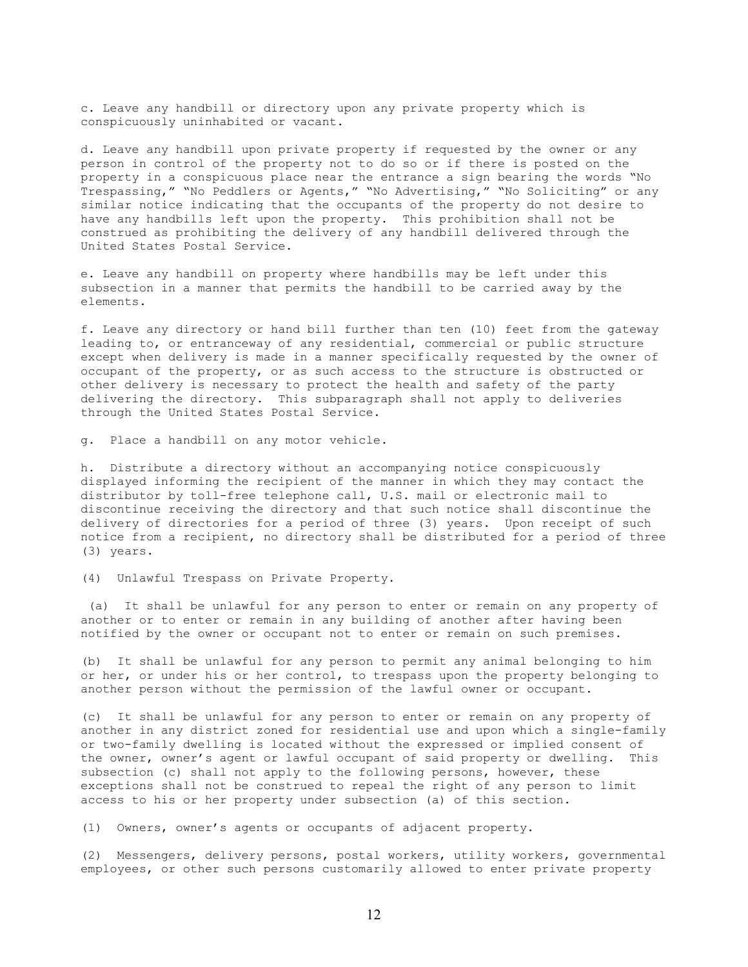c. Leave any handbill or directory upon any private property which is conspicuously uninhabited or vacant.

d. Leave any handbill upon private property if requested by the owner or any person in control of the property not to do so or if there is posted on the property in a conspicuous place near the entrance a sign bearing the words "No Trespassing," "No Peddlers or Agents," "No Advertising," "No Soliciting" or any similar notice indicating that the occupants of the property do not desire to have any handbills left upon the property. This prohibition shall not be construed as prohibiting the delivery of any handbill delivered through the United States Postal Service.

e. Leave any handbill on property where handbills may be left under this subsection in a manner that permits the handbill to be carried away by the elements.

f. Leave any directory or hand bill further than ten (10) feet from the gateway leading to, or entranceway of any residential, commercial or public structure except when delivery is made in a manner specifically requested by the owner of occupant of the property, or as such access to the structure is obstructed or other delivery is necessary to protect the health and safety of the party delivering the directory. This subparagraph shall not apply to deliveries through the United States Postal Service.

g. Place a handbill on any motor vehicle.

h. Distribute a directory without an accompanying notice conspicuously displayed informing the recipient of the manner in which they may contact the distributor by toll-free telephone call, U.S. mail or electronic mail to discontinue receiving the directory and that such notice shall discontinue the delivery of directories for a period of three (3) years. Upon receipt of such notice from a recipient, no directory shall be distributed for a period of three (3) years.

(4) Unlawful Trespass on Private Property.

 (a) It shall be unlawful for any person to enter or remain on any property of another or to enter or remain in any building of another after having been notified by the owner or occupant not to enter or remain on such premises.

(b) It shall be unlawful for any person to permit any animal belonging to him or her, or under his or her control, to trespass upon the property belonging to another person without the permission of the lawful owner or occupant.

(c) It shall be unlawful for any person to enter or remain on any property of another in any district zoned for residential use and upon which a single-family or two-family dwelling is located without the expressed or implied consent of the owner, owner's agent or lawful occupant of said property or dwelling. This subsection (c) shall not apply to the following persons, however, these exceptions shall not be construed to repeal the right of any person to limit access to his or her property under subsection (a) of this section.

(1) Owners, owner's agents or occupants of adjacent property.

(2) Messengers, delivery persons, postal workers, utility workers, governmental employees, or other such persons customarily allowed to enter private property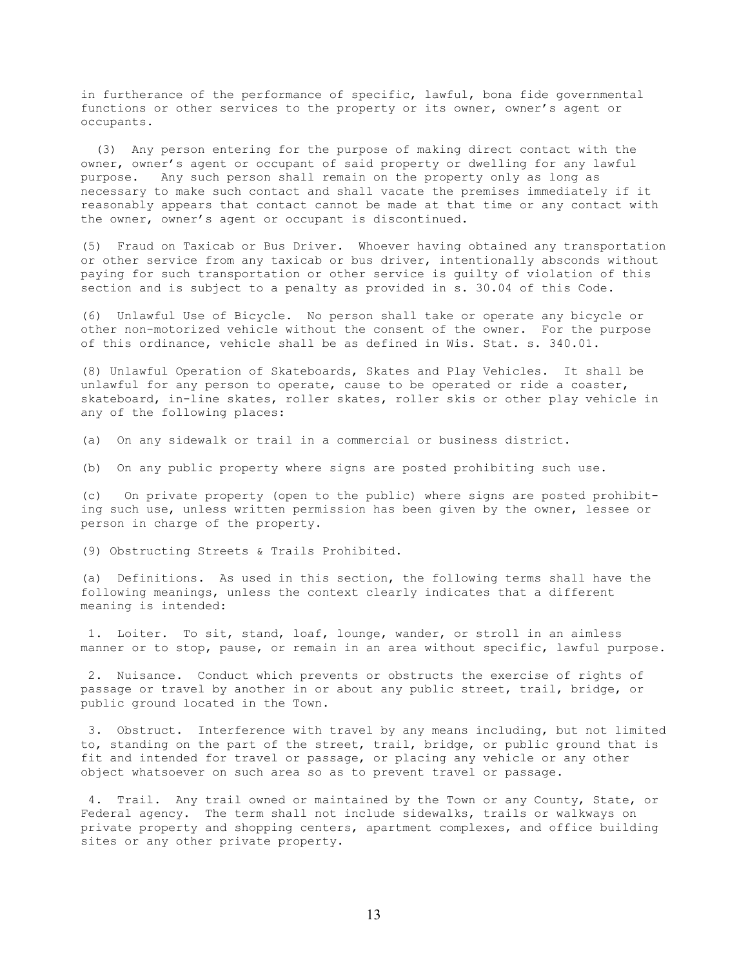in furtherance of the performance of specific, lawful, bona fide governmental functions or other services to the property or its owner, owner's agent or occupants.

 (3) Any person entering for the purpose of making direct contact with the owner, owner's agent or occupant of said property or dwelling for any lawful purpose. Any such person shall remain on the property only as long as necessary to make such contact and shall vacate the premises immediately if it reasonably appears that contact cannot be made at that time or any contact with the owner, owner's agent or occupant is discontinued.

(5) Fraud on Taxicab or Bus Driver. Whoever having obtained any transportation or other service from any taxicab or bus driver, intentionally absconds without paying for such transportation or other service is guilty of violation of this section and is subject to a penalty as provided in s. 30.04 of this Code.

(6) Unlawful Use of Bicycle. No person shall take or operate any bicycle or other non-motorized vehicle without the consent of the owner. For the purpose of this ordinance, vehicle shall be as defined in Wis. Stat. s. 340.01.

(8) Unlawful Operation of Skateboards, Skates and Play Vehicles. It shall be unlawful for any person to operate, cause to be operated or ride a coaster, skateboard, in-line skates, roller skates, roller skis or other play vehicle in any of the following places:

(a) On any sidewalk or trail in a commercial or business district.

(b) On any public property where signs are posted prohibiting such use.

(c) On private property (open to the public) where signs are posted prohibiting such use, unless written permission has been given by the owner, lessee or person in charge of the property.

(9) Obstructing Streets & Trails Prohibited.

(a) Definitions. As used in this section, the following terms shall have the following meanings, unless the context clearly indicates that a different meaning is intended:

 1. Loiter. To sit, stand, loaf, lounge, wander, or stroll in an aimless manner or to stop, pause, or remain in an area without specific, lawful purpose.

 2. Nuisance. Conduct which prevents or obstructs the exercise of rights of passage or travel by another in or about any public street, trail, bridge, or public ground located in the Town.

 3. Obstruct. Interference with travel by any means including, but not limited to, standing on the part of the street, trail, bridge, or public ground that is fit and intended for travel or passage, or placing any vehicle or any other object whatsoever on such area so as to prevent travel or passage.

 4. Trail. Any trail owned or maintained by the Town or any County, State, or Federal agency. The term shall not include sidewalks, trails or walkways on private property and shopping centers, apartment complexes, and office building sites or any other private property.

13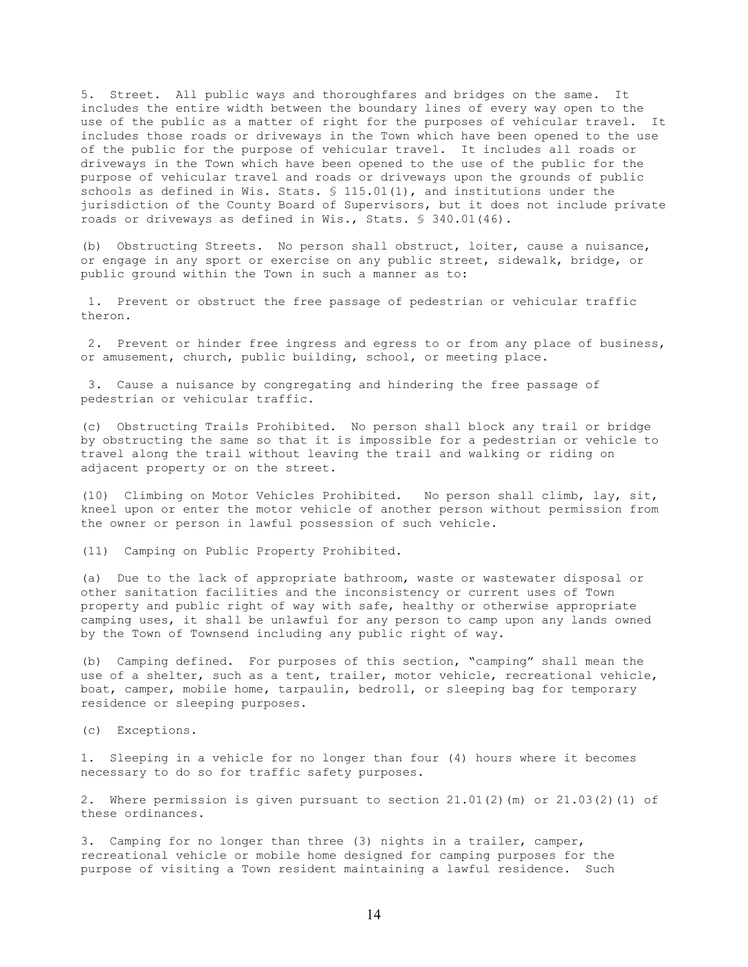5. Street. All public ways and thoroughfares and bridges on the same. It includes the entire width between the boundary lines of every way open to the use of the public as a matter of right for the purposes of vehicular travel. It includes those roads or driveways in the Town which have been opened to the use of the public for the purpose of vehicular travel. It includes all roads or driveways in the Town which have been opened to the use of the public for the purpose of vehicular travel and roads or driveways upon the grounds of public schools as defined in Wis. Stats. § 115.01(1), and institutions under the jurisdiction of the County Board of Supervisors, but it does not include private roads or driveways as defined in Wis., Stats. § 340.01(46).

(b) Obstructing Streets. No person shall obstruct, loiter, cause a nuisance, or engage in any sport or exercise on any public street, sidewalk, bridge, or public ground within the Town in such a manner as to:

 1. Prevent or obstruct the free passage of pedestrian or vehicular traffic theron.

 2. Prevent or hinder free ingress and egress to or from any place of business, or amusement, church, public building, school, or meeting place.

 3. Cause a nuisance by congregating and hindering the free passage of pedestrian or vehicular traffic.

(c) Obstructing Trails Prohibited. No person shall block any trail or bridge by obstructing the same so that it is impossible for a pedestrian or vehicle to travel along the trail without leaving the trail and walking or riding on adjacent property or on the street.

(10) Climbing on Motor Vehicles Prohibited. No person shall climb, lay, sit, kneel upon or enter the motor vehicle of another person without permission from the owner or person in lawful possession of such vehicle.

(11) Camping on Public Property Prohibited.

(a) Due to the lack of appropriate bathroom, waste or wastewater disposal or other sanitation facilities and the inconsistency or current uses of Town property and public right of way with safe, healthy or otherwise appropriate camping uses, it shall be unlawful for any person to camp upon any lands owned by the Town of Townsend including any public right of way.

(b) Camping defined. For purposes of this section, "camping" shall mean the use of a shelter, such as a tent, trailer, motor vehicle, recreational vehicle, boat, camper, mobile home, tarpaulin, bedroll, or sleeping bag for temporary residence or sleeping purposes.

(c) Exceptions.

1. Sleeping in a vehicle for no longer than four (4) hours where it becomes necessary to do so for traffic safety purposes.

2. Where permission is given pursuant to section 21.01(2)(m) or 21.03(2)(1) of these ordinances.

3. Camping for no longer than three (3) nights in a trailer, camper, recreational vehicle or mobile home designed for camping purposes for the purpose of visiting a Town resident maintaining a lawful residence. Such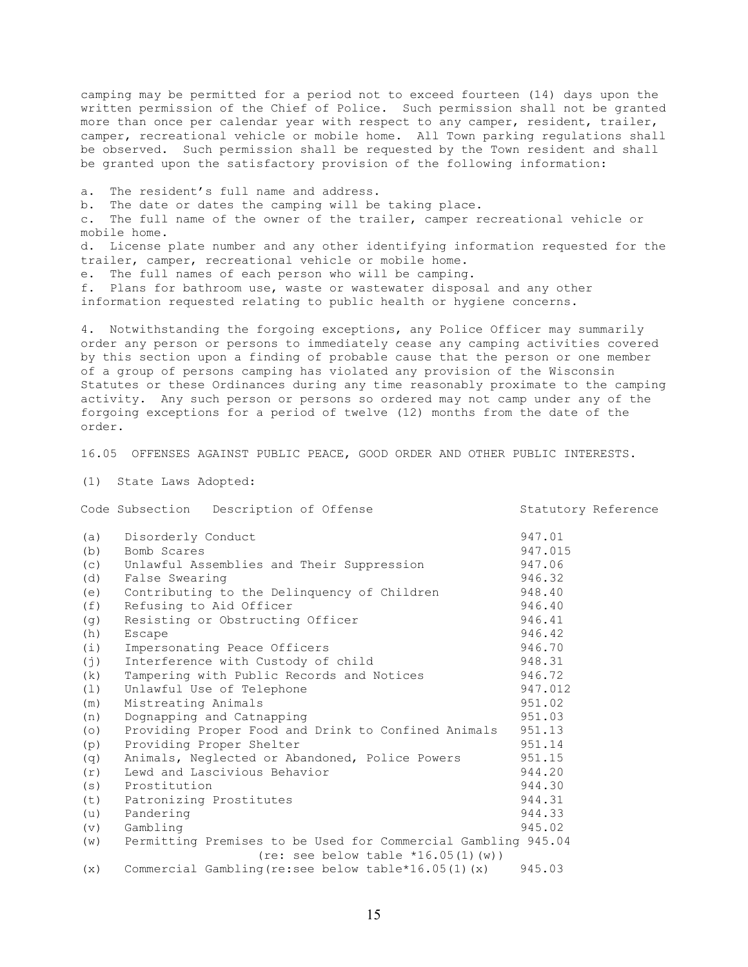camping may be permitted for a period not to exceed fourteen (14) days upon the written permission of the Chief of Police. Such permission shall not be granted more than once per calendar year with respect to any camper, resident, trailer, camper, recreational vehicle or mobile home. All Town parking regulations shall be observed. Such permission shall be requested by the Town resident and shall be granted upon the satisfactory provision of the following information:

a. The resident's full name and address. b. The date or dates the camping will be taking place. c. The full name of the owner of the trailer, camper recreational vehicle or mobile home. d. License plate number and any other identifying information requested for the trailer, camper, recreational vehicle or mobile home. e. The full names of each person who will be camping. f. Plans for bathroom use, waste or wastewater disposal and any other information requested relating to public health or hygiene concerns.

4. Notwithstanding the forgoing exceptions, any Police Officer may summarily order any person or persons to immediately cease any camping activities covered by this section upon a finding of probable cause that the person or one member of a group of persons camping has violated any provision of the Wisconsin Statutes or these Ordinances during any time reasonably proximate to the camping activity. Any such person or persons so ordered may not camp under any of the forgoing exceptions for a period of twelve (12) months from the date of the order.

16.05 OFFENSES AGAINST PUBLIC PEACE, GOOD ORDER AND OTHER PUBLIC INTERESTS.

(1) State Laws Adopted:

Code Subsection Description of Offense Statutory Reference

| (a) | Disorderly Conduct                                            | 947.01  |
|-----|---------------------------------------------------------------|---------|
| (b) | Bomb Scares                                                   | 947.015 |
| (C) | Unlawful Assemblies and Their Suppression                     | 947.06  |
| (d) | False Swearing                                                | 946.32  |
| (e) | Contributing to the Delinguency of Children                   | 948.40  |
| (f) | Refusing to Aid Officer                                       | 946.40  |
| (q) | Resisting or Obstructing Officer                              | 946.41  |
| (h) | <b>Escape</b>                                                 | 946.42  |
| (i) | Impersonating Peace Officers                                  | 946.70  |
| (j) | Interference with Custody of child                            | 948.31  |
| (k) | Tampering with Public Records and Notices                     | 946.72  |
| (1) | Unlawful Use of Telephone                                     | 947.012 |
| (m) | Mistreating Animals                                           | 951.02  |
| (n) | Dognapping and Catnapping                                     | 951.03  |
| (0) | Providing Proper Food and Drink to Confined Animals           | 951.13  |
| (p) | Providing Proper Shelter                                      | 951.14  |
| (q) | Animals, Neglected or Abandoned, Police Powers                | 951.15  |
| (r) | Lewd and Lascivious Behavior                                  | 944.20  |
| (s) | Prostitution                                                  | 944.30  |
| (t) | Patronizing Prostitutes                                       | 944.31  |
| (u) | Pandering                                                     | 944.33  |
| (v) | Gambling                                                      | 945.02  |
| (w) | Permitting Premises to be Used for Commercial Gambling 945.04 |         |
|     | (re: see below table $*16.05(1)(w)$ )                         |         |
| (x) | Commercial Gambling (re:see below table*16.05(1) $(x)$        | 945.03  |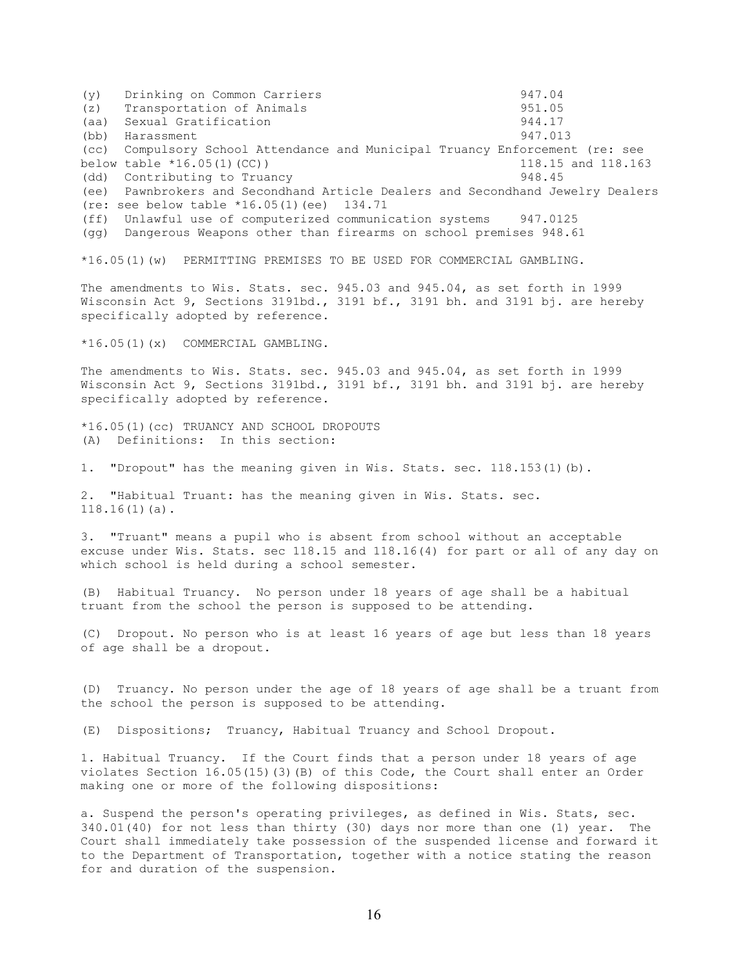(y) Drinking on Common Carriers (2008) 947.04 (2) Transportation of Animals (z) Transportation of Animals (a) 051.05<br>
(aa) Sexual Gratification (a) 944.17 (aa) Sexual Gratification (bb) Harassment 947.013 (cc) Compulsory School Attendance and Municipal Truancy Enforcement (re: see below table \*16.05(1)(CC)) 118.15 and 118.163 (dd) Contributing to Truancy 948.45 (ee) Pawnbrokers and Secondhand Article Dealers and Secondhand Jewelry Dealers (re: see below table \*16.05(1)(ee) 134.71 (ff) Unlawful use of computerized communication systems 947.0125 (gg) Dangerous Weapons other than firearms on school premises 948.61 \*16.05(1)(w) PERMITTING PREMISES TO BE USED FOR COMMERCIAL GAMBLING. The amendments to Wis. Stats. sec. 945.03 and 945.04, as set forth in 1999 Wisconsin Act 9, Sections 3191bd., 3191 bf., 3191 bh. and 3191 bj. are hereby specifically adopted by reference. \*16.05(1)(x) COMMERCIAL GAMBLING. The amendments to Wis. Stats. sec. 945.03 and 945.04, as set forth in 1999 Wisconsin Act 9, Sections 3191bd., 3191 bf., 3191 bh. and 3191 bj. are hereby specifically adopted by reference. \*16.05(1)(cc) TRUANCY AND SCHOOL DROPOUTS (A) Definitions: In this section: 1. "Dropout" has the meaning given in Wis. Stats. sec. 118.153(1)(b). 2. "Habitual Truant: has the meaning given in Wis. Stats. sec. 118.16(1)(a). 3. "Truant" means a pupil who is absent from school without an acceptable excuse under Wis. Stats. sec 118.15 and 118.16(4) for part or all of any day on which school is held during a school semester. (B) Habitual Truancy. No person under 18 years of age shall be a habitual truant from the school the person is supposed to be attending. (C) Dropout. No person who is at least 16 years of age but less than 18 years of age shall be a dropout. (D) Truancy. No person under the age of 18 years of age shall be a truant from the school the person is supposed to be attending. (E) Dispositions; Truancy, Habitual Truancy and School Dropout. 1. Habitual Truancy. If the Court finds that a person under 18 years of age violates Section 16.05(15)(3)(B) of this Code, the Court shall enter an Order

a. Suspend the person's operating privileges, as defined in Wis. Stats, sec. 340.01(40) for not less than thirty (30) days nor more than one (1) year. The Court shall immediately take possession of the suspended license and forward it to the Department of Transportation, together with a notice stating the reason for and duration of the suspension.

making one or more of the following dispositions: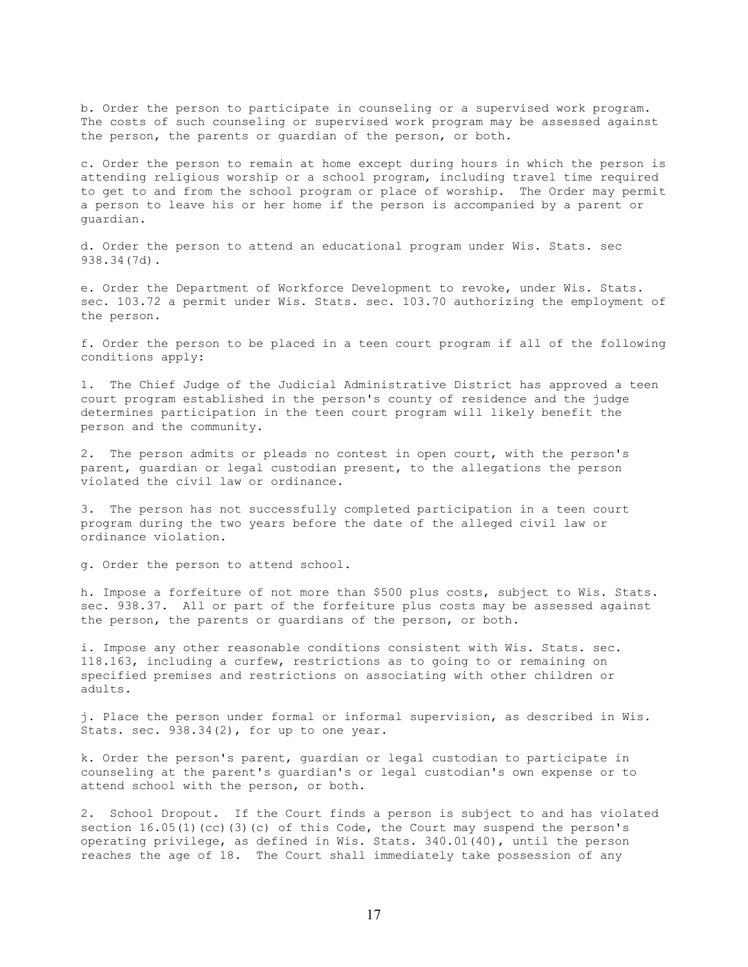b. Order the person to participate in counseling or a supervised work program. The costs of such counseling or supervised work program may be assessed against the person, the parents or guardian of the person, or both.

c. Order the person to remain at home except during hours in which the person is attending religious worship or a school program, including travel time required to get to and from the school program or place of worship. The Order may permit a person to leave his or her home if the person is accompanied by a parent or guardian.

d. Order the person to attend an educational program under Wis. Stats. sec 938.34(7d).

e. Order the Department of Workforce Development to revoke, under Wis. Stats. sec. 103.72 a permit under Wis. Stats. sec. 103.70 authorizing the employment of the person.

f. Order the person to be placed in a teen court program if all of the following conditions apply:

1. The Chief Judge of the Judicial Administrative District has approved a teen court program established in the person's county of residence and the judge determines participation in the teen court program will likely benefit the person and the community.

2. The person admits or pleads no contest in open court, with the person's parent, guardian or legal custodian present, to the allegations the person violated the civil law or ordinance.

3. The person has not successfully completed participation in a teen court program during the two years before the date of the alleged civil law or ordinance violation.

g. Order the person to attend school.

h. Impose a forfeiture of not more than \$500 plus costs, subject to Wis. Stats. sec. 938.37. All or part of the forfeiture plus costs may be assessed against the person, the parents or guardians of the person, or both.

i. Impose any other reasonable conditions consistent with Wis. Stats. sec. 118.163, including a curfew, restrictions as to going to or remaining on specified premises and restrictions on associating with other children or adults.

j. Place the person under formal or informal supervision, as described in Wis. Stats. sec. 938.34(2), for up to one year.

k. Order the person's parent, guardian or legal custodian to participate in counseling at the parent's guardian's or legal custodian's own expense or to attend school with the person, or both.

2. School Dropout. If the Court finds a person is subject to and has violated section  $16.05(1)$  (cc)(3)(c) of this Code, the Court may suspend the person's operating privilege, as defined in Wis. Stats. 340.01(40), until the person reaches the age of 18. The Court shall immediately take possession of any

17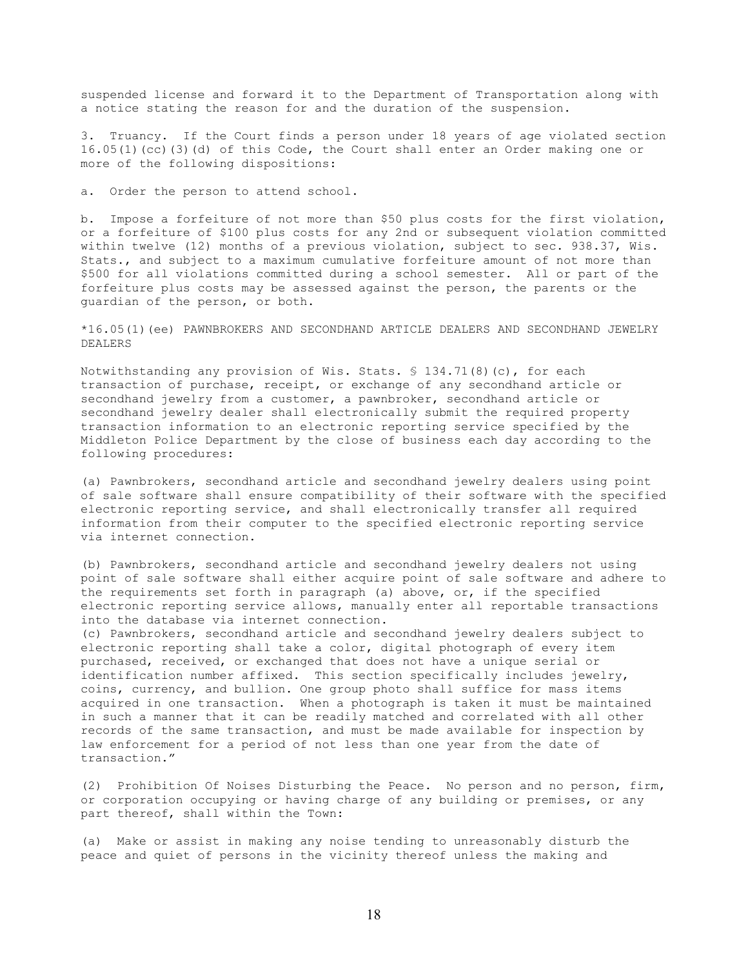suspended license and forward it to the Department of Transportation along with a notice stating the reason for and the duration of the suspension.

3. Truancy. If the Court finds a person under 18 years of age violated section 16.05(1)(cc)(3)(d) of this Code, the Court shall enter an Order making one or more of the following dispositions:

a. Order the person to attend school.

b. Impose a forfeiture of not more than \$50 plus costs for the first violation, or a forfeiture of \$100 plus costs for any 2nd or subsequent violation committed within twelve (12) months of a previous violation, subject to sec. 938.37, Wis. Stats., and subject to a maximum cumulative forfeiture amount of not more than \$500 for all violations committed during a school semester. All or part of the forfeiture plus costs may be assessed against the person, the parents or the guardian of the person, or both.

\*16.05(1)(ee) PAWNBROKERS AND SECONDHAND ARTICLE DEALERS AND SECONDHAND JEWELRY DEALERS

Notwithstanding any provision of Wis. Stats. § 134.71(8)(c), for each transaction of purchase, receipt, or exchange of any secondhand article or secondhand jewelry from a customer, a pawnbroker, secondhand article or secondhand jewelry dealer shall electronically submit the required property transaction information to an electronic reporting service specified by the Middleton Police Department by the close of business each day according to the following procedures:

(a) Pawnbrokers, secondhand article and secondhand jewelry dealers using point of sale software shall ensure compatibility of their software with the specified electronic reporting service, and shall electronically transfer all required information from their computer to the specified electronic reporting service via internet connection.

(b) Pawnbrokers, secondhand article and secondhand jewelry dealers not using point of sale software shall either acquire point of sale software and adhere to the requirements set forth in paragraph (a) above, or, if the specified electronic reporting service allows, manually enter all reportable transactions into the database via internet connection.

(c) Pawnbrokers, secondhand article and secondhand jewelry dealers subject to electronic reporting shall take a color, digital photograph of every item purchased, received, or exchanged that does not have a unique serial or identification number affixed. This section specifically includes jewelry, coins, currency, and bullion. One group photo shall suffice for mass items acquired in one transaction. When a photograph is taken it must be maintained in such a manner that it can be readily matched and correlated with all other records of the same transaction, and must be made available for inspection by law enforcement for a period of not less than one year from the date of transaction."

(2) Prohibition Of Noises Disturbing the Peace. No person and no person, firm, or corporation occupying or having charge of any building or premises, or any part thereof, shall within the Town:

(a) Make or assist in making any noise tending to unreasonably disturb the peace and quiet of persons in the vicinity thereof unless the making and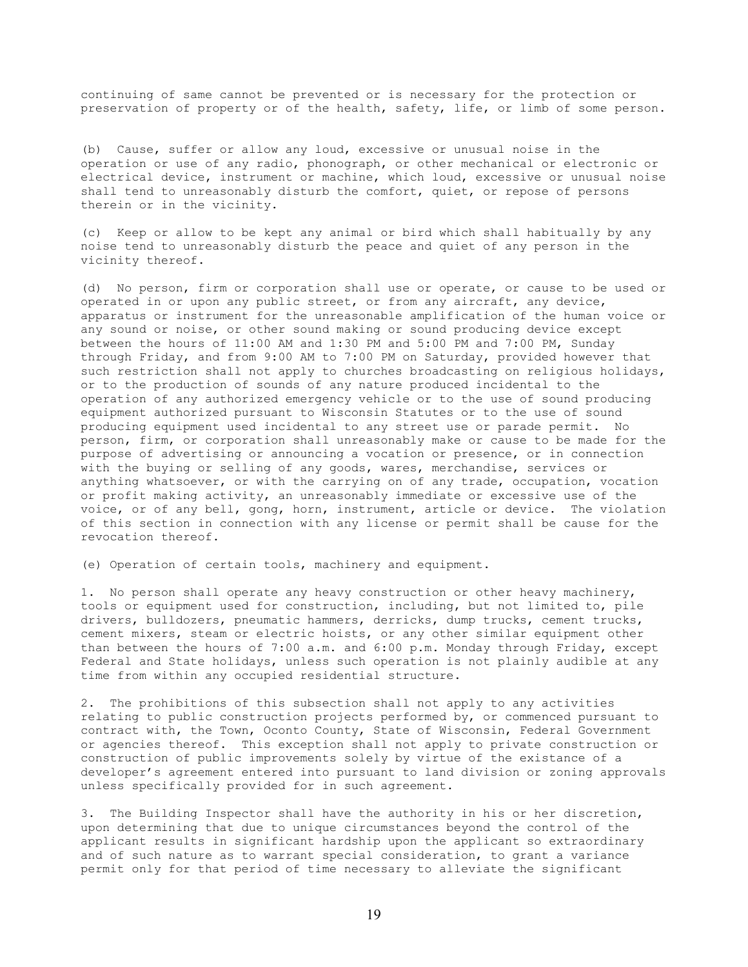continuing of same cannot be prevented or is necessary for the protection or preservation of property or of the health, safety, life, or limb of some person.

(b) Cause, suffer or allow any loud, excessive or unusual noise in the operation or use of any radio, phonograph, or other mechanical or electronic or electrical device, instrument or machine, which loud, excessive or unusual noise shall tend to unreasonably disturb the comfort, quiet, or repose of persons therein or in the vicinity.

(c) Keep or allow to be kept any animal or bird which shall habitually by any noise tend to unreasonably disturb the peace and quiet of any person in the vicinity thereof.

(d) No person, firm or corporation shall use or operate, or cause to be used or operated in or upon any public street, or from any aircraft, any device, apparatus or instrument for the unreasonable amplification of the human voice or any sound or noise, or other sound making or sound producing device except between the hours of 11:00 AM and 1:30 PM and 5:00 PM and 7:00 PM, Sunday through Friday, and from 9:00 AM to 7:00 PM on Saturday, provided however that such restriction shall not apply to churches broadcasting on religious holidays, or to the production of sounds of any nature produced incidental to the operation of any authorized emergency vehicle or to the use of sound producing equipment authorized pursuant to Wisconsin Statutes or to the use of sound producing equipment used incidental to any street use or parade permit. No person, firm, or corporation shall unreasonably make or cause to be made for the purpose of advertising or announcing a vocation or presence, or in connection with the buying or selling of any goods, wares, merchandise, services or anything whatsoever, or with the carrying on of any trade, occupation, vocation or profit making activity, an unreasonably immediate or excessive use of the voice, or of any bell, gong, horn, instrument, article or device. The violation of this section in connection with any license or permit shall be cause for the revocation thereof.

(e) Operation of certain tools, machinery and equipment.

1. No person shall operate any heavy construction or other heavy machinery, tools or equipment used for construction, including, but not limited to, pile drivers, bulldozers, pneumatic hammers, derricks, dump trucks, cement trucks, cement mixers, steam or electric hoists, or any other similar equipment other than between the hours of 7:00 a.m. and 6:00 p.m. Monday through Friday, except Federal and State holidays, unless such operation is not plainly audible at any time from within any occupied residential structure.

2. The prohibitions of this subsection shall not apply to any activities relating to public construction projects performed by, or commenced pursuant to contract with, the Town, Oconto County, State of Wisconsin, Federal Government or agencies thereof. This exception shall not apply to private construction or construction of public improvements solely by virtue of the existance of a developer's agreement entered into pursuant to land division or zoning approvals unless specifically provided for in such agreement.

3. The Building Inspector shall have the authority in his or her discretion, upon determining that due to unique circumstances beyond the control of the applicant results in significant hardship upon the applicant so extraordinary and of such nature as to warrant special consideration, to grant a variance permit only for that period of time necessary to alleviate the significant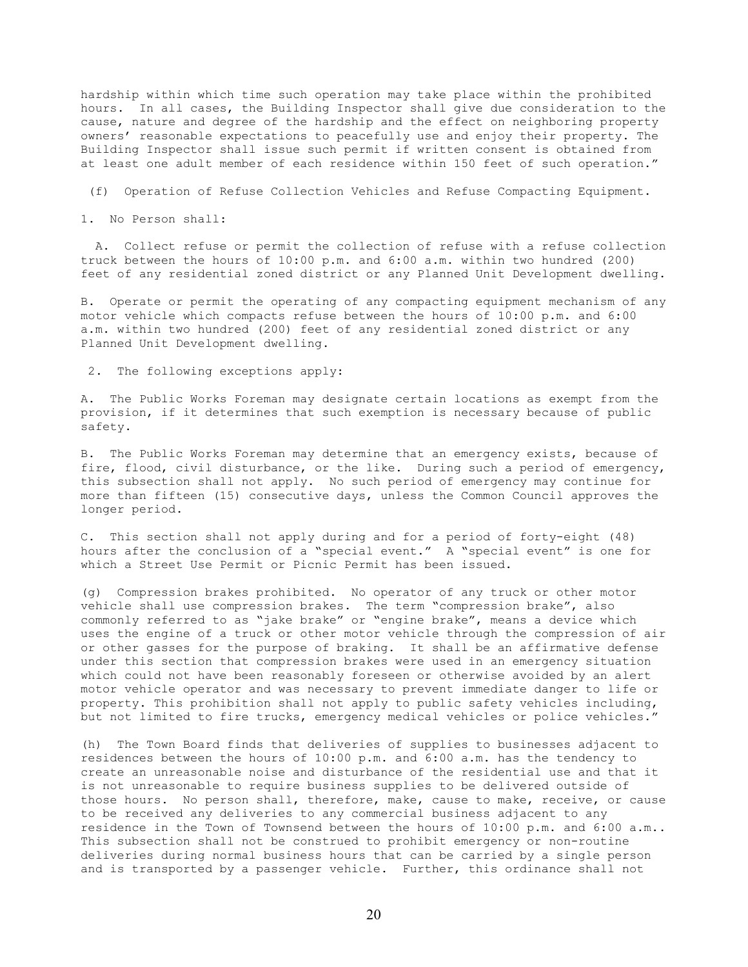hardship within which time such operation may take place within the prohibited hours. In all cases, the Building Inspector shall give due consideration to the cause, nature and degree of the hardship and the effect on neighboring property owners' reasonable expectations to peacefully use and enjoy their property. The Building Inspector shall issue such permit if written consent is obtained from at least one adult member of each residence within 150 feet of such operation."

(f) Operation of Refuse Collection Vehicles and Refuse Compacting Equipment.

1. No Person shall:

 A. Collect refuse or permit the collection of refuse with a refuse collection truck between the hours of 10:00 p.m. and 6:00 a.m. within two hundred (200) feet of any residential zoned district or any Planned Unit Development dwelling.

B. Operate or permit the operating of any compacting equipment mechanism of any motor vehicle which compacts refuse between the hours of 10:00 p.m. and 6:00 a.m. within two hundred (200) feet of any residential zoned district or any Planned Unit Development dwelling.

2. The following exceptions apply:

A. The Public Works Foreman may designate certain locations as exempt from the provision, if it determines that such exemption is necessary because of public safety.

B. The Public Works Foreman may determine that an emergency exists, because of fire, flood, civil disturbance, or the like. During such a period of emergency, this subsection shall not apply. No such period of emergency may continue for more than fifteen (15) consecutive days, unless the Common Council approves the longer period.

C. This section shall not apply during and for a period of forty-eight (48) hours after the conclusion of a "special event." A "special event" is one for which a Street Use Permit or Picnic Permit has been issued.

(g) Compression brakes prohibited. No operator of any truck or other motor vehicle shall use compression brakes. The term "compression brake", also commonly referred to as "jake brake" or "engine brake", means a device which uses the engine of a truck or other motor vehicle through the compression of air or other gasses for the purpose of braking. It shall be an affirmative defense under this section that compression brakes were used in an emergency situation which could not have been reasonably foreseen or otherwise avoided by an alert motor vehicle operator and was necessary to prevent immediate danger to life or property. This prohibition shall not apply to public safety vehicles including, but not limited to fire trucks, emergency medical vehicles or police vehicles."

(h) The Town Board finds that deliveries of supplies to businesses adjacent to residences between the hours of 10:00 p.m. and 6:00 a.m. has the tendency to create an unreasonable noise and disturbance of the residential use and that it is not unreasonable to require business supplies to be delivered outside of those hours. No person shall, therefore, make, cause to make, receive, or cause to be received any deliveries to any commercial business adjacent to any residence in the Town of Townsend between the hours of 10:00 p.m. and 6:00 a.m.. This subsection shall not be construed to prohibit emergency or non-routine deliveries during normal business hours that can be carried by a single person and is transported by a passenger vehicle. Further, this ordinance shall not

20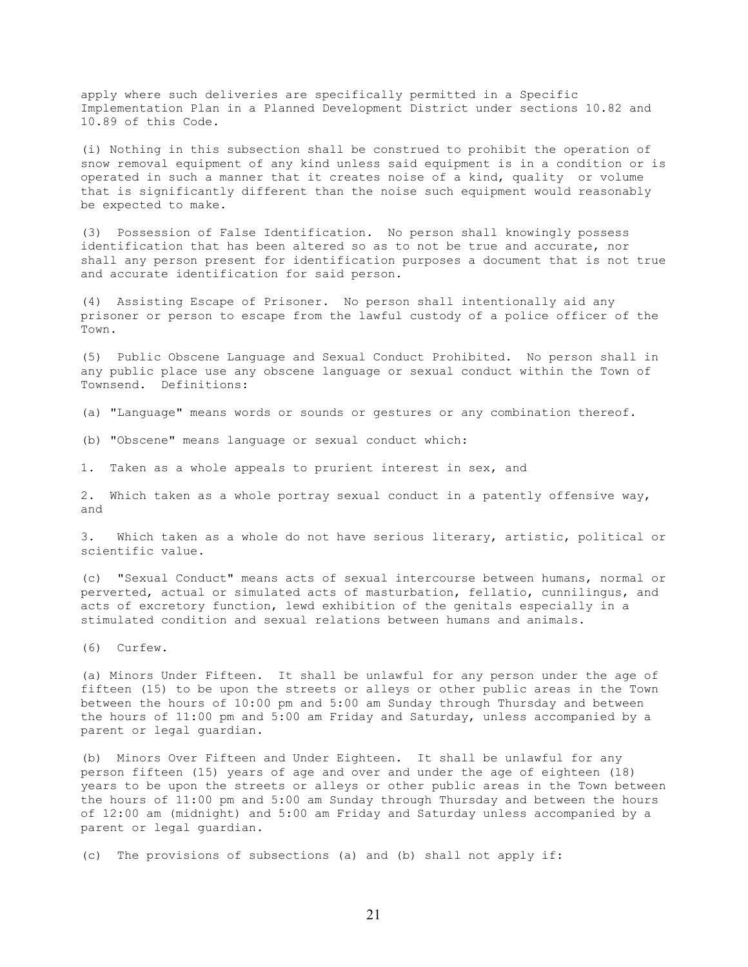apply where such deliveries are specifically permitted in a Specific Implementation Plan in a Planned Development District under sections 10.82 and 10.89 of this Code.

(i) Nothing in this subsection shall be construed to prohibit the operation of snow removal equipment of any kind unless said equipment is in a condition or is operated in such a manner that it creates noise of a kind, quality or volume that is significantly different than the noise such equipment would reasonably be expected to make.

(3) Possession of False Identification. No person shall knowingly possess identification that has been altered so as to not be true and accurate, nor shall any person present for identification purposes a document that is not true and accurate identification for said person.

(4) Assisting Escape of Prisoner. No person shall intentionally aid any prisoner or person to escape from the lawful custody of a police officer of the Town.

(5) Public Obscene Language and Sexual Conduct Prohibited. No person shall in any public place use any obscene language or sexual conduct within the Town of Townsend. Definitions:

(a) "Language" means words or sounds or gestures or any combination thereof.

(b) "Obscene" means language or sexual conduct which:

1. Taken as a whole appeals to prurient interest in sex, and

2. Which taken as a whole portray sexual conduct in a patently offensive way, and

3. Which taken as a whole do not have serious literary, artistic, political or scientific value.

(c) "Sexual Conduct" means acts of sexual intercourse between humans, normal or perverted, actual or simulated acts of masturbation, fellatio, cunnilingus, and acts of excretory function, lewd exhibition of the genitals especially in a stimulated condition and sexual relations between humans and animals.

(6) Curfew.

(a) Minors Under Fifteen. It shall be unlawful for any person under the age of fifteen (15) to be upon the streets or alleys or other public areas in the Town between the hours of 10:00 pm and 5:00 am Sunday through Thursday and between the hours of 11:00 pm and 5:00 am Friday and Saturday, unless accompanied by a parent or legal guardian.

(b) Minors Over Fifteen and Under Eighteen. It shall be unlawful for any person fifteen (15) years of age and over and under the age of eighteen (18) years to be upon the streets or alleys or other public areas in the Town between the hours of 11:00 pm and 5:00 am Sunday through Thursday and between the hours of 12:00 am (midnight) and 5:00 am Friday and Saturday unless accompanied by a parent or legal guardian.

(c) The provisions of subsections (a) and (b) shall not apply if: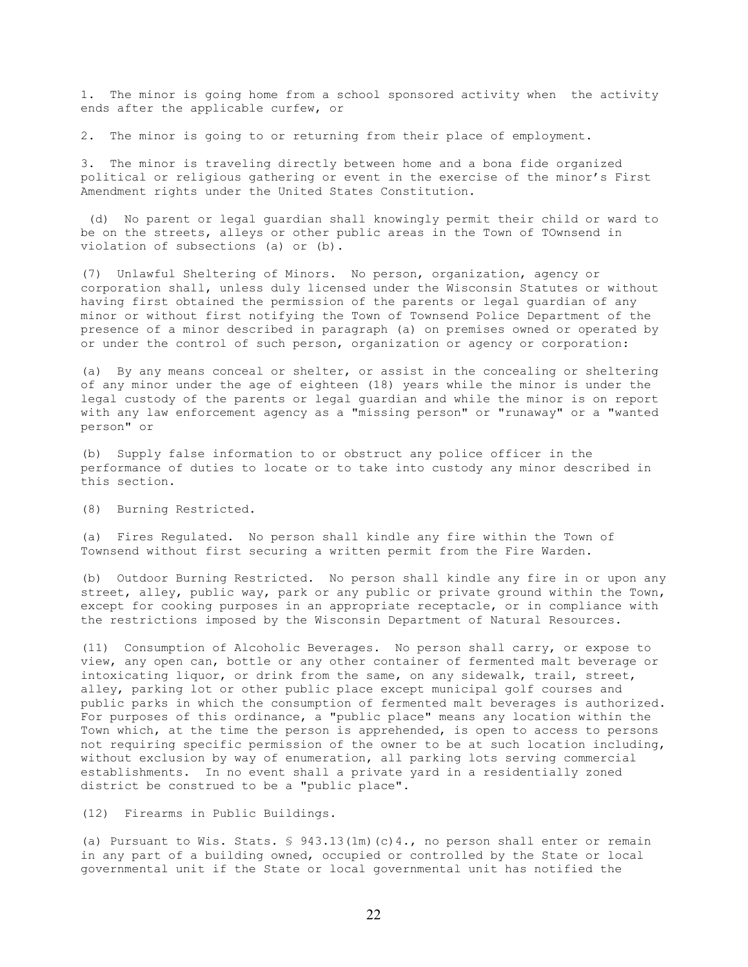1. The minor is going home from a school sponsored activity when the activity ends after the applicable curfew, or

2. The minor is going to or returning from their place of employment.

3. The minor is traveling directly between home and a bona fide organized political or religious gathering or event in the exercise of the minor's First Amendment rights under the United States Constitution.

 (d) No parent or legal guardian shall knowingly permit their child or ward to be on the streets, alleys or other public areas in the Town of TOwnsend in violation of subsections (a) or (b).

(7) Unlawful Sheltering of Minors. No person, organization, agency or corporation shall, unless duly licensed under the Wisconsin Statutes or without having first obtained the permission of the parents or legal guardian of any minor or without first notifying the Town of Townsend Police Department of the presence of a minor described in paragraph (a) on premises owned or operated by or under the control of such person, organization or agency or corporation:

(a) By any means conceal or shelter, or assist in the concealing or sheltering of any minor under the age of eighteen (18) years while the minor is under the legal custody of the parents or legal guardian and while the minor is on report with any law enforcement agency as a "missing person" or "runaway" or a "wanted person" or

(b) Supply false information to or obstruct any police officer in the performance of duties to locate or to take into custody any minor described in this section.

(8) Burning Restricted.

(a) Fires Regulated. No person shall kindle any fire within the Town of Townsend without first securing a written permit from the Fire Warden.

(b) Outdoor Burning Restricted. No person shall kindle any fire in or upon any street, alley, public way, park or any public or private ground within the Town, except for cooking purposes in an appropriate receptacle, or in compliance with the restrictions imposed by the Wisconsin Department of Natural Resources.

(11) Consumption of Alcoholic Beverages. No person shall carry, or expose to view, any open can, bottle or any other container of fermented malt beverage or intoxicating liquor, or drink from the same, on any sidewalk, trail, street, alley, parking lot or other public place except municipal golf courses and public parks in which the consumption of fermented malt beverages is authorized. For purposes of this ordinance, a "public place" means any location within the Town which, at the time the person is apprehended, is open to access to persons not requiring specific permission of the owner to be at such location including, without exclusion by way of enumeration, all parking lots serving commercial establishments. In no event shall a private yard in a residentially zoned district be construed to be a "public place".

(12) Firearms in Public Buildings.

(a) Pursuant to Wis. Stats.  $\frac{6}{5}$  943.13(1m)(c)4., no person shall enter or remain in any part of a building owned, occupied or controlled by the State or local governmental unit if the State or local governmental unit has notified the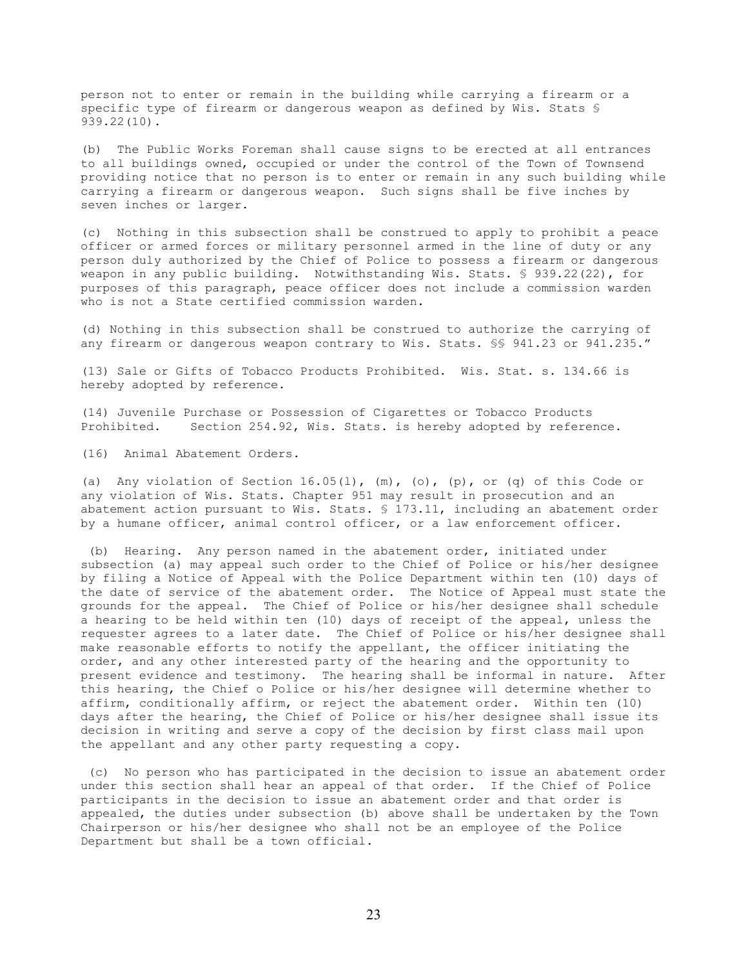person not to enter or remain in the building while carrying a firearm or a specific type of firearm or dangerous weapon as defined by Wis. Stats § 939.22(10).

(b) The Public Works Foreman shall cause signs to be erected at all entrances to all buildings owned, occupied or under the control of the Town of Townsend providing notice that no person is to enter or remain in any such building while carrying a firearm or dangerous weapon. Such signs shall be five inches by seven inches or larger.

(c) Nothing in this subsection shall be construed to apply to prohibit a peace officer or armed forces or military personnel armed in the line of duty or any person duly authorized by the Chief of Police to possess a firearm or dangerous weapon in any public building. Notwithstanding Wis. Stats. § 939.22(22), for purposes of this paragraph, peace officer does not include a commission warden who is not a State certified commission warden.

(d) Nothing in this subsection shall be construed to authorize the carrying of any firearm or dangerous weapon contrary to Wis. Stats. §§ 941.23 or 941.235."

(13) Sale or Gifts of Tobacco Products Prohibited. Wis. Stat. s. 134.66 is hereby adopted by reference.

(14) Juvenile Purchase or Possession of Cigarettes or Tobacco Products Prohibited. Section 254.92, Wis. Stats. is hereby adopted by reference.

(16) Animal Abatement Orders.

(a) Any violation of Section 16.05(1),  $(m)$ , (o), (p), or (q) of this Code or any violation of Wis. Stats. Chapter 951 may result in prosecution and an abatement action pursuant to Wis. Stats. § 173.11, including an abatement order by a humane officer, animal control officer, or a law enforcement officer.

 (b) Hearing. Any person named in the abatement order, initiated under subsection (a) may appeal such order to the Chief of Police or his/her designee by filing a Notice of Appeal with the Police Department within ten (10) days of the date of service of the abatement order. The Notice of Appeal must state the grounds for the appeal. The Chief of Police or his/her designee shall schedule a hearing to be held within ten (10) days of receipt of the appeal, unless the requester agrees to a later date. The Chief of Police or his/her designee shall make reasonable efforts to notify the appellant, the officer initiating the order, and any other interested party of the hearing and the opportunity to present evidence and testimony. The hearing shall be informal in nature. After this hearing, the Chief o Police or his/her designee will determine whether to affirm, conditionally affirm, or reject the abatement order. Within ten (10) days after the hearing, the Chief of Police or his/her designee shall issue its decision in writing and serve a copy of the decision by first class mail upon the appellant and any other party requesting a copy.

 (c) No person who has participated in the decision to issue an abatement order under this section shall hear an appeal of that order. If the Chief of Police participants in the decision to issue an abatement order and that order is appealed, the duties under subsection (b) above shall be undertaken by the Town Chairperson or his/her designee who shall not be an employee of the Police Department but shall be a town official.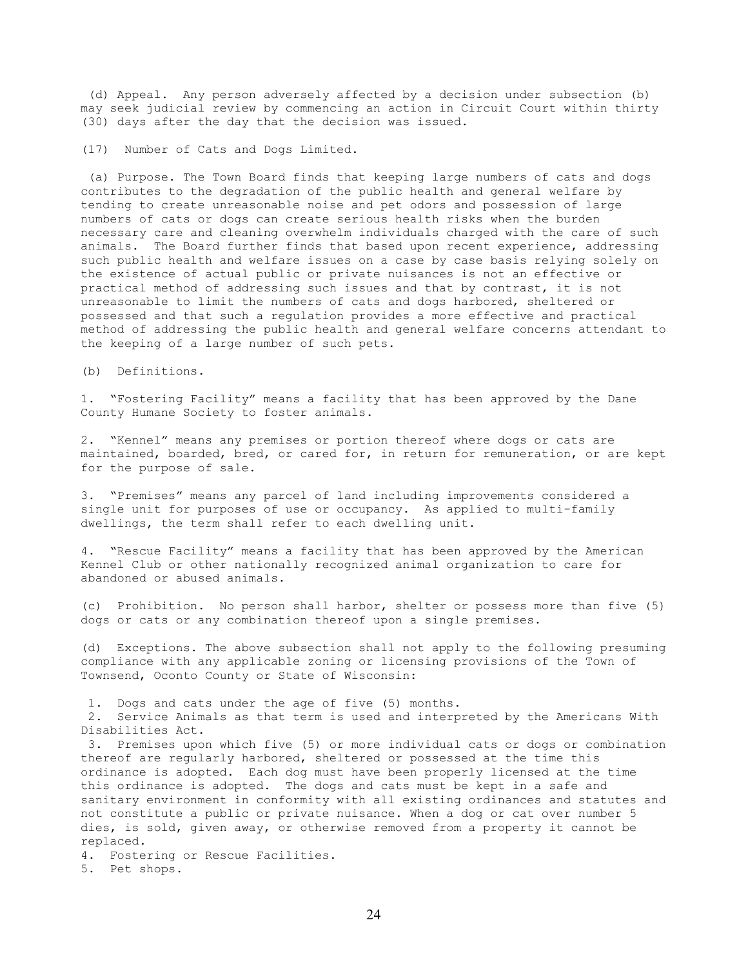(d) Appeal. Any person adversely affected by a decision under subsection (b) may seek judicial review by commencing an action in Circuit Court within thirty (30) days after the day that the decision was issued.

(17) Number of Cats and Dogs Limited.

 (a) Purpose. The Town Board finds that keeping large numbers of cats and dogs contributes to the degradation of the public health and general welfare by tending to create unreasonable noise and pet odors and possession of large numbers of cats or dogs can create serious health risks when the burden necessary care and cleaning overwhelm individuals charged with the care of such animals. The Board further finds that based upon recent experience, addressing such public health and welfare issues on a case by case basis relying solely on the existence of actual public or private nuisances is not an effective or practical method of addressing such issues and that by contrast, it is not unreasonable to limit the numbers of cats and dogs harbored, sheltered or possessed and that such a regulation provides a more effective and practical method of addressing the public health and general welfare concerns attendant to the keeping of a large number of such pets.

(b) Definitions.

1. "Fostering Facility" means a facility that has been approved by the Dane County Humane Society to foster animals.

2. "Kennel" means any premises or portion thereof where dogs or cats are maintained, boarded, bred, or cared for, in return for remuneration, or are kept for the purpose of sale.

3. "Premises" means any parcel of land including improvements considered a single unit for purposes of use or occupancy. As applied to multi-family dwellings, the term shall refer to each dwelling unit.

4. "Rescue Facility" means a facility that has been approved by the American Kennel Club or other nationally recognized animal organization to care for abandoned or abused animals.

(c) Prohibition. No person shall harbor, shelter or possess more than five (5) dogs or cats or any combination thereof upon a single premises.

(d) Exceptions. The above subsection shall not apply to the following presuming compliance with any applicable zoning or licensing provisions of the Town of Townsend, Oconto County or State of Wisconsin:

1. Dogs and cats under the age of five (5) months.

 2. Service Animals as that term is used and interpreted by the Americans With Disabilities Act.

 3. Premises upon which five (5) or more individual cats or dogs or combination thereof are regularly harbored, sheltered or possessed at the time this ordinance is adopted. Each dog must have been properly licensed at the time this ordinance is adopted. The dogs and cats must be kept in a safe and sanitary environment in conformity with all existing ordinances and statutes and not constitute a public or private nuisance. When a dog or cat over number 5 dies, is sold, given away, or otherwise removed from a property it cannot be replaced.

4. Fostering or Rescue Facilities.

5. Pet shops.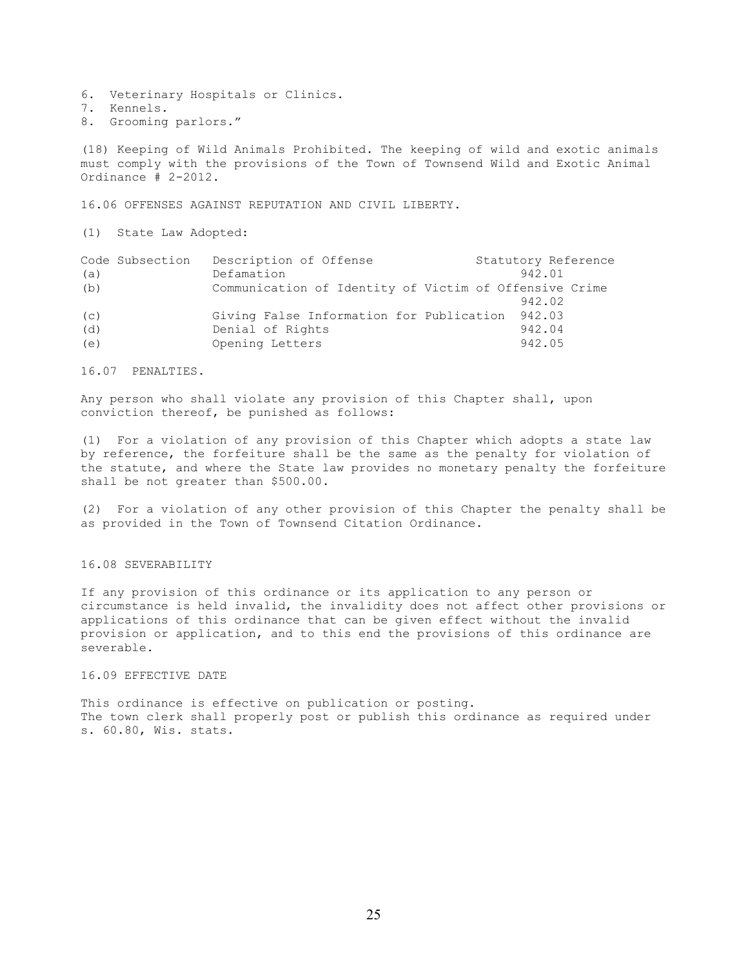- 6. Veterinary Hospitals or Clinics.
- 7. Kennels.
- 8. Grooming parlors."

(18) Keeping of Wild Animals Prohibited. The keeping of wild and exotic animals must comply with the provisions of the Town of Townsend Wild and Exotic Animal Ordinance # 2-2012.

16.06 OFFENSES AGAINST REPUTATION AND CIVIL LIBERTY.

(1) State Law Adopted:

|     | Code Subsection | Description of Offense                                 | Statutory Reference |  |
|-----|-----------------|--------------------------------------------------------|---------------------|--|
| (a) |                 | Defamation                                             | 942.01              |  |
| (b) |                 | Communication of Identity of Victim of Offensive Crime |                     |  |
|     |                 |                                                        | 942.02              |  |
| (c) |                 | Giving False Information for Publication 942.03        |                     |  |
| (d) |                 | Denial of Rights                                       | 942.04              |  |
| (e) |                 | Opening Letters                                        | 942.05              |  |

16.07 PENALTIES.

Any person who shall violate any provision of this Chapter shall, upon conviction thereof, be punished as follows:

(1) For a violation of any provision of this Chapter which adopts a state law by reference, the forfeiture shall be the same as the penalty for violation of the statute, and where the State law provides no monetary penalty the forfeiture shall be not greater than \$500.00.

(2) For a violation of any other provision of this Chapter the penalty shall be as provided in the Town of Townsend Citation Ordinance.

## 16.08 SEVERABILITY

If any provision of this ordinance or its application to any person or circumstance is held invalid, the invalidity does not affect other provisions or applications of this ordinance that can be given effect without the invalid provision or application, and to this end the provisions of this ordinance are severable.

## 16.09 EFFECTIVE DATE

This ordinance is effective on publication or posting. The town clerk shall properly post or publish this ordinance as required under s. 60.80, Wis. stats.